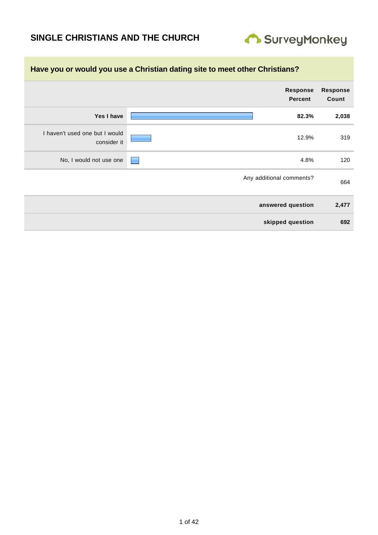# **SINGLE CHRISTIANS AND THE CHURCH**



|                          | Have you or would you use a Christian dating site to meet other Christians? |                                               |  |  |
|--------------------------|-----------------------------------------------------------------------------|-----------------------------------------------|--|--|
| <b>Response</b><br>Count | <b>Response</b><br><b>Percent</b>                                           |                                               |  |  |
| 2,038                    | 82.3%                                                                       | Yes I have                                    |  |  |
| 319                      | 12.9%                                                                       | I haven't used one but I would<br>consider it |  |  |
| 120                      | 4.8%                                                                        | No, I would not use one                       |  |  |
| 664                      | Any additional comments?                                                    |                                               |  |  |
| 2,477                    | answered question                                                           |                                               |  |  |
| 692                      | skipped question                                                            |                                               |  |  |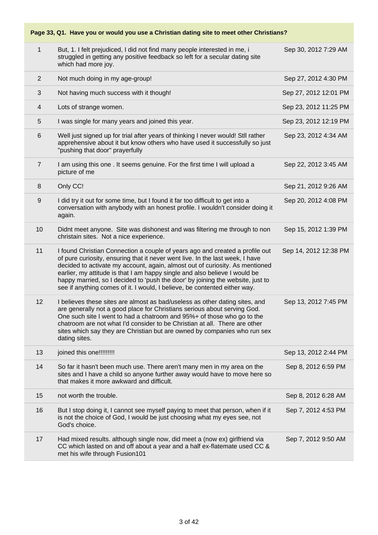#### **Page 33, Q1. Have you or would you use a Christian dating site to meet other Christians?** 1 But, 1. I felt prejudiced, I did not find many people interested in me, i struggled in getting any positive feedback so left for a secular dating site which had more joy. Sep 30, 2012 7:29 AM 2 Not much doing in my age-group! Sep 27, 2012 4:30 PM 3 Not having much success with it though! Sep 27, 2012 12:01 PM 4 Lots of strange women. Sep 23, 2012 11:25 PM 5 I was single for many years and joined this year. Sep 23, 2012 12:19 PM 6 Well just signed up for trial after years of thinking I never would! Stll rather apprehensive about it but know others who have used it successfully so just "pushing that door" prayerfully Sep 23, 2012 4:34 AM 7 I am using this one . It seems genuine. For the first time I will upload a picture of me Sep 22, 2012 3:45 AM 8 Only CC! Sep 21, 2012 9:26 AM 9 I did try it out for some time, but I found it far too difficult to get into a conversation with anybody with an honest profile. I wouldn't consider doing it again. Sep 20, 2012 4:08 PM 10 Didnt meet anyone. Site was dishonest and was filtering me through to non christain sites. Not a nice experience. Sep 15, 2012 1:39 PM 11 I found Christian Connection a couple of years ago and created a profile out of pure curiosity, ensuring that it never went live. In the last week, I have decided to activate my account, again, almost out of curiosity. As mentioned earlier, my attitude is that I am happy single and also believe I would be happy married, so I decided to 'push the door' by joining the website, just to see if anything comes of it. I would, I believe, be contented either way. Sep 14, 2012 12:38 PM 12 I believes these sites are almost as bad/useless as other dating sites, and are generally not a good place for Christians serious about serving God. One such site I went to had a chatroom and 95%+ of those who go to the chatroom are not what I'd consider to be Christian at all. There are other sites which say they are Christian but are owned by companies who run sex dating sites. Sep 13, 2012 7:45 PM 13 ioined this one!!!!!!!!!! Sep 13, 2012 2:44 PM 14 So far it hasn't been much use. There aren't many men in my area on the sites and I have a child so anyone further away would have to move here so that makes it more awkward and difficult. Sep 8, 2012 6:59 PM 15 not worth the trouble. Sep 8, 2012 6:28 AM 16 But I stop doing it, I cannot see myself paying to meet that person, when if it is not the choice of God, I would be just choosing what my eyes see, not God's choice. Sep 7, 2012 4:53 PM 17 Had mixed results. although single now, did meet a (now ex) girlfriend via CC which lasted on and off about a year and a half ex-flatemate used CC & met his wife through Fusion101 Sep 7, 2012 9:50 AM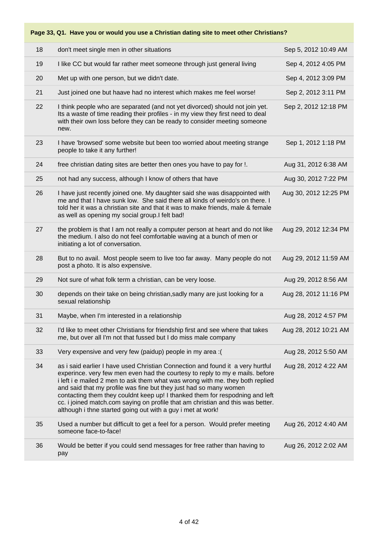| 18 | don't meet single men in other situations                                                                                                                                                                                                                                                                                                                                                                                                                                                                                                              | Sep 5, 2012 10:49 AM  |
|----|--------------------------------------------------------------------------------------------------------------------------------------------------------------------------------------------------------------------------------------------------------------------------------------------------------------------------------------------------------------------------------------------------------------------------------------------------------------------------------------------------------------------------------------------------------|-----------------------|
| 19 | I like CC but would far rather meet someone through just general living                                                                                                                                                                                                                                                                                                                                                                                                                                                                                | Sep 4, 2012 4:05 PM   |
| 20 | Met up with one person, but we didn't date.                                                                                                                                                                                                                                                                                                                                                                                                                                                                                                            | Sep 4, 2012 3:09 PM   |
| 21 | Just joined one but haave had no interest which makes me feel worse!                                                                                                                                                                                                                                                                                                                                                                                                                                                                                   | Sep 2, 2012 3:11 PM   |
| 22 | I think people who are separated (and not yet divorced) should not join yet.<br>Its a waste of time reading their profiles - in my view they first need to deal<br>with their own loss before they can be ready to consider meeting someone<br>new.                                                                                                                                                                                                                                                                                                    | Sep 2, 2012 12:18 PM  |
| 23 | I have 'browsed' some website but been too worried about meeting strange<br>people to take it any further!                                                                                                                                                                                                                                                                                                                                                                                                                                             | Sep 1, 2012 1:18 PM   |
| 24 | free christian dating sites are better then ones you have to pay for !.                                                                                                                                                                                                                                                                                                                                                                                                                                                                                | Aug 31, 2012 6:38 AM  |
| 25 | not had any success, although I know of others that have                                                                                                                                                                                                                                                                                                                                                                                                                                                                                               | Aug 30, 2012 7:22 PM  |
| 26 | I have just recently joined one. My daughter said she was disappointed with<br>me and that I have sunk low. She said there all kinds of weirdo's on there. I<br>told her it was a christian site and that it was to make friends, male & female<br>as well as opening my social group. I felt bad!                                                                                                                                                                                                                                                     | Aug 30, 2012 12:25 PM |
| 27 | the problem is that I am not really a computer person at heart and do not like<br>the medium. I also do not feel comfortable waving at a bunch of men or<br>initiating a lot of conversation.                                                                                                                                                                                                                                                                                                                                                          | Aug 29, 2012 12:34 PM |
| 28 | But to no avail. Most people seem to live too far away. Many people do not<br>post a photo. It is also expensive.                                                                                                                                                                                                                                                                                                                                                                                                                                      | Aug 29, 2012 11:59 AM |
| 29 | Not sure of what folk term a christian, can be very loose.                                                                                                                                                                                                                                                                                                                                                                                                                                                                                             | Aug 29, 2012 8:56 AM  |
| 30 | depends on their take on being christian, sadly many are just looking for a<br>sexual relationship                                                                                                                                                                                                                                                                                                                                                                                                                                                     | Aug 28, 2012 11:16 PM |
| 31 | Maybe, when I'm interested in a relationship                                                                                                                                                                                                                                                                                                                                                                                                                                                                                                           | Aug 28, 2012 4:57 PM  |
| 32 | I'd like to meet other Christians for friendship first and see where that takes<br>me, but over all I'm not that fussed but I do miss male company                                                                                                                                                                                                                                                                                                                                                                                                     | Aug 28, 2012 10:21 AM |
| 33 | Very expensive and very few (paidup) people in my area : (                                                                                                                                                                                                                                                                                                                                                                                                                                                                                             | Aug 28, 2012 5:50 AM  |
| 34 | as i said earlier I have used Christian Connection and found it a very hurtful<br>experince. very few men even had the courtesy to reply to my e mails. before<br>i left i e mailed 2 men to ask them what was wrong with me. they both replied<br>and said that my profile was fine but they just had so many women<br>contacting them they couldnt keep up! I thanked them for respodning and left<br>cc. i joined match.com saying on profile that am christian and this was better.<br>although i thne started going out with a guy i met at work! | Aug 28, 2012 4:22 AM  |
| 35 | Used a number but difficult to get a feel for a person. Would prefer meeting<br>someone face-to-face!                                                                                                                                                                                                                                                                                                                                                                                                                                                  | Aug 26, 2012 4:40 AM  |
| 36 | Would be better if you could send messages for free rather than having to<br>pay                                                                                                                                                                                                                                                                                                                                                                                                                                                                       | Aug 26, 2012 2:02 AM  |
|    |                                                                                                                                                                                                                                                                                                                                                                                                                                                                                                                                                        |                       |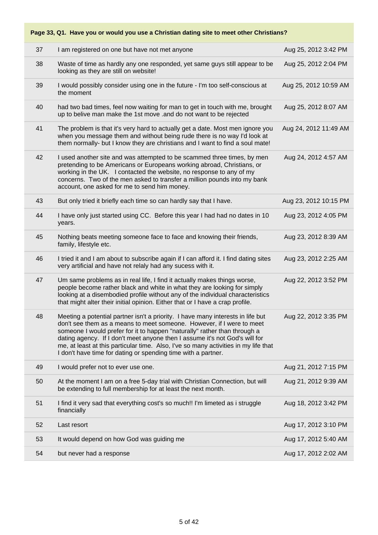#### **Page 33, Q1. Have you or would you use a Christian dating site to meet other Christians?** 37 I am registered on one but have not met anyone Aug 25, 2012 3:42 PM 38 Waste of time as hardly any one responded, yet same guys still appear to be looking as they are still on website! Aug 25, 2012 2:04 PM 39 I would possibly consider using one in the future - I'm too self-conscious at the moment Aug 25, 2012 10:59 AM 40 had two bad times, feel now waiting for man to get in touch with me, brought up to belive man make the 1st move .and do not want to be rejected Aug 25, 2012 8:07 AM 41 The problem is that it's very hard to actually get a date. Most men ignore you when you message them and without being rude there is no way I'd look at them normally- but I know they are christians and I want to find a soul mate! Aug 24, 2012 11:49 AM 42 I used another site and was attempted to be scammed three times, by men pretending to be Americans or Europeans working abroad, Christians, or working in the UK. I contacted the website, no response to any of my concerns. Two of the men asked to transfer a million pounds into my bank account, one asked for me to send him money. Aug 24, 2012 4:57 AM 43 But only tried it briefly each time so can hardly say that I have. Aug 23, 2012 10:15 PM 44 I have only just started using CC. Before this year I had had no dates in 10 years. Aug 23, 2012 4:05 PM 45 Nothing beats meeting someone face to face and knowing their friends, family, lifestyle etc. Aug 23, 2012 8:39 AM 46 I tried it and I am about to subscribe again if I can afford it. I find dating sites very artificial and have not relaly had any sucess with it. Aug 23, 2012 2:25 AM 47 Um same problems as in real life, I find it actually makes things worse, people become rather black and white in what they are looking for simply looking at a disembodied profile without any of the individual characteristics that might alter their initial opinion. Either that or I have a crap profile. Aug 22, 2012 3:52 PM 48 Meeting a potential partner isn't a priority. I have many interests in life but don't see them as a means to meet someone. However, if I were to meet someone I would prefer for it to happen "naturally" rather than through a dating agency. If I don't meet anyone then I assume it's not God's will for me, at least at this particular time. Also, I've so many activities in my life that I don't have time for dating or spending time with a partner. Aug 22, 2012 3:35 PM 49 I would prefer not to ever use one. Aug 21, 2012 7:15 PM 50 At the moment I am on a free 5-day trial with Christian Connection, but will be extending to full membership for at least the next month. Aug 21, 2012 9:39 AM 51 I find it very sad that everything cost's so much!! I'm limeted as i struggle financially Aug 18, 2012 3:42 PM 52 Last resort Aug 17, 2012 3:10 PM 53 It would depend on how God was guiding me Aug 17, 2012 5:40 AM 54 but never had a response Aug 17, 2012 2:02 AM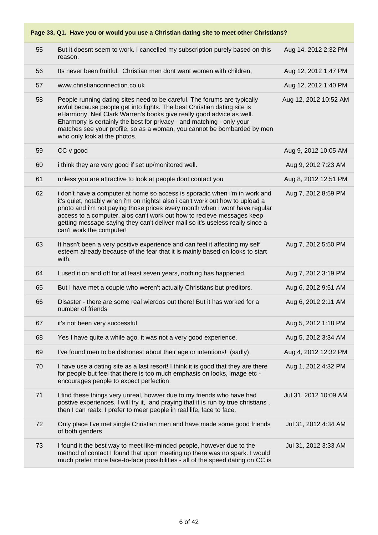| 55 | But it doesnt seem to work. I cancelled my subscription purely based on this<br>reason.                                                                                                                                                                                                                                                                                                                                          | Aug 14, 2012 2:32 PM  |
|----|----------------------------------------------------------------------------------------------------------------------------------------------------------------------------------------------------------------------------------------------------------------------------------------------------------------------------------------------------------------------------------------------------------------------------------|-----------------------|
| 56 | Its never been fruitful. Christian men dont want women with children,                                                                                                                                                                                                                                                                                                                                                            | Aug 12, 2012 1:47 PM  |
| 57 | www.christianconnection.co.uk                                                                                                                                                                                                                                                                                                                                                                                                    | Aug 12, 2012 1:40 PM  |
| 58 | People running dating sites need to be careful. The forums are typically<br>awful because people get into fights. The best Christian dating site is<br>eHarmony. Neil Clark Warren's books give really good advice as well.<br>Eharmony is certainly the best for privacy - and matching - only your<br>matches see your profile, so as a woman, you cannot be bombarded by men<br>who only look at the photos.                  | Aug 12, 2012 10:52 AM |
| 59 | CC v good                                                                                                                                                                                                                                                                                                                                                                                                                        | Aug 9, 2012 10:05 AM  |
| 60 | i think they are very good if set up/monitored well.                                                                                                                                                                                                                                                                                                                                                                             | Aug 9, 2012 7:23 AM   |
| 61 | unless you are attractive to look at people dont contact you                                                                                                                                                                                                                                                                                                                                                                     | Aug 8, 2012 12:51 PM  |
| 62 | i don't have a computer at home so access is sporadic when i'm in work and<br>it's quiet, notably when i'm on nights! also i can't work out how to upload a<br>photo and i'm not paying those prices every month when i wont have regular<br>access to a computer. alos can't work out how to recieve messages keep<br>getting message saying they can't deliver mail so it's useless really since a<br>can't work the computer! | Aug 7, 2012 8:59 PM   |
| 63 | It hasn't been a very positive experience and can feel it affecting my self<br>esteem already because of the fear that it is mainly based on looks to start<br>with.                                                                                                                                                                                                                                                             | Aug 7, 2012 5:50 PM   |
| 64 | I used it on and off for at least seven years, nothing has happened.                                                                                                                                                                                                                                                                                                                                                             | Aug 7, 2012 3:19 PM   |
| 65 | But I have met a couple who weren't actually Christians but preditors.                                                                                                                                                                                                                                                                                                                                                           | Aug 6, 2012 9:51 AM   |
| 66 | Disaster - there are some real wierdos out there! But it has worked for a<br>number of friends                                                                                                                                                                                                                                                                                                                                   | Aug 6, 2012 2:11 AM   |
| 67 | it's not been very successful                                                                                                                                                                                                                                                                                                                                                                                                    | Aug 5, 2012 1:18 PM   |
| 68 | Yes I have quite a while ago, it was not a very good experience.                                                                                                                                                                                                                                                                                                                                                                 | Aug 5, 2012 3:34 AM   |
| 69 | I've found men to be dishonest about their age or intentions! (sadly)                                                                                                                                                                                                                                                                                                                                                            | Aug 4, 2012 12:32 PM  |
| 70 | I have use a dating site as a last resort! I think it is good that they are there<br>for people but feel that there is too much emphasis on looks, image etc -<br>encourages people to expect perfection                                                                                                                                                                                                                         | Aug 1, 2012 4:32 PM   |
| 71 | I find these things very unreal, howver due to my friends who have had<br>postive experiences, I will try it, and praying that it is run by true christians,<br>then I can realx. I prefer to meer people in real life, face to face.                                                                                                                                                                                            | Jul 31, 2012 10:09 AM |
| 72 | Only place I've met single Christian men and have made some good friends<br>of both genders                                                                                                                                                                                                                                                                                                                                      | Jul 31, 2012 4:34 AM  |
| 73 | I found it the best way to meet like-minded people, however due to the<br>method of contact I found that upon meeting up there was no spark. I would<br>much prefer more face-to-face possibilities - all of the speed dating on CC is                                                                                                                                                                                           | Jul 31, 2012 3:33 AM  |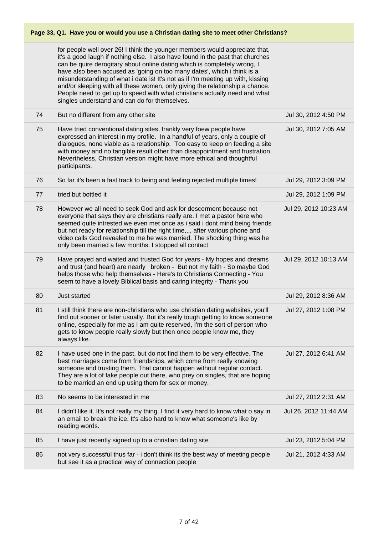| Page 33, Q1. Have you or would you use a Christian dating site to meet other Christians? |                                                                                                                                                                                                                                                                                                                                                                                                                                                                                                                                                                                                                        |                       |  |
|------------------------------------------------------------------------------------------|------------------------------------------------------------------------------------------------------------------------------------------------------------------------------------------------------------------------------------------------------------------------------------------------------------------------------------------------------------------------------------------------------------------------------------------------------------------------------------------------------------------------------------------------------------------------------------------------------------------------|-----------------------|--|
|                                                                                          | for people well over 26! I think the younger members would appreciate that,<br>it's a good laugh if nothing else. I also have found in the past that churches<br>can be quire derogitary about online dating which is completely wrong, I<br>have also been accused as 'going on too many dates', which i think is a<br>misunderstanding of what i date is! It's not as if I'm meeting up with, kissing<br>and/or sleeping with all these women, only giving the relationship a chance.<br>People need to get up to speed with what christians actually need and what<br>singles understand and can do for themselves. |                       |  |
| 74                                                                                       | But no different from any other site                                                                                                                                                                                                                                                                                                                                                                                                                                                                                                                                                                                   | Jul 30, 2012 4:50 PM  |  |
| 75                                                                                       | Have tried conventional dating sites, frankly very foew people have<br>expressed an interest in my profile. In a handful of years, only a couple of<br>dialogues, none viable as a relationship. Too easy to keep on feeding a site<br>with money and no tangible result other than disappointment and frustration.<br>Nevertheless, Christian version might have more ethical and thoughtful<br>participants.                                                                                                                                                                                                         | Jul 30, 2012 7:05 AM  |  |
| 76                                                                                       | So far it's been a fast track to being and feeling rejected multiple times!                                                                                                                                                                                                                                                                                                                                                                                                                                                                                                                                            | Jul 29, 2012 3:09 PM  |  |
| 77                                                                                       | tried but bottled it                                                                                                                                                                                                                                                                                                                                                                                                                                                                                                                                                                                                   | Jul 29, 2012 1:09 PM  |  |
| 78                                                                                       | However we all need to seek God and ask for descerment because not<br>everyone that says they are christians really are. I met a pastor here who<br>seemed quite intrested we even met once as i said i dont mind being friends<br>but not ready for relationship till the right time,,,, after various phone and<br>video calls God revealed to me he was married. The shocking thing was he<br>only been married a few months. I stopped all contact                                                                                                                                                                 | Jul 29, 2012 10:23 AM |  |
| 79                                                                                       | Have prayed and waited and trusted God for years - My hopes and dreams<br>and trust (and heart) are nearly broken - But not my faith - So maybe God<br>helps those who help themselves - Here's to Christians Connecting - You<br>seem to have a lovely Biblical basis and caring integrity - Thank you                                                                                                                                                                                                                                                                                                                | Jul 29, 2012 10:13 AM |  |
| 80                                                                                       | Just started                                                                                                                                                                                                                                                                                                                                                                                                                                                                                                                                                                                                           | Jul 29, 2012 8:36 AM  |  |
| 81                                                                                       | I still think there are non-christians who use christian dating websites, you'll<br>find out sooner or later usually. But it's really tough getting to know someone<br>online, especially for me as I am quite reserved, I'm the sort of person who<br>gets to know people really slowly but then once people know me, they<br>always like.                                                                                                                                                                                                                                                                            | Jul 27, 2012 1:08 PM  |  |
| 82                                                                                       | I have used one in the past, but do not find them to be very effective. The<br>best marriages come from friendships, which come from really knowing<br>someone and trusting them. That cannot happen without regular contact.<br>They are a lot of fake people out there, who prey on singles, that are hoping<br>to be married an end up using them for sex or money.                                                                                                                                                                                                                                                 | Jul 27, 2012 6:41 AM  |  |
| 83                                                                                       | No seems to be interested in me                                                                                                                                                                                                                                                                                                                                                                                                                                                                                                                                                                                        | Jul 27, 2012 2:31 AM  |  |
| 84                                                                                       | I didn't like it. It's not really my thing. I find it very hard to know what o say in<br>an email to break the ice. It's also hard to know what someone's like by<br>reading words.                                                                                                                                                                                                                                                                                                                                                                                                                                    | Jul 26, 2012 11:44 AM |  |
| 85                                                                                       | I have just recently signed up to a christian dating site                                                                                                                                                                                                                                                                                                                                                                                                                                                                                                                                                              | Jul 23, 2012 5:04 PM  |  |
| 86                                                                                       | not very successful thus far - i don't think its the best way of meeting people<br>but see it as a practical way of connection people                                                                                                                                                                                                                                                                                                                                                                                                                                                                                  | Jul 21, 2012 4:33 AM  |  |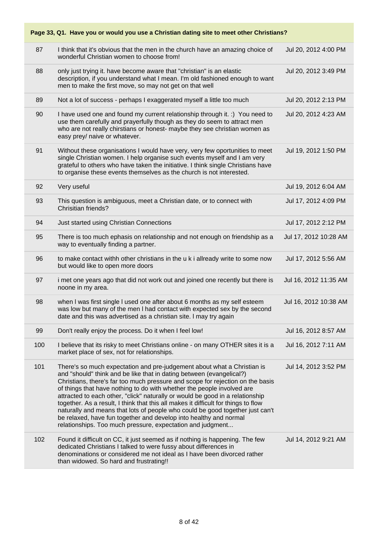| Page 33, Q1. Have you or would you use a Christian dating site to meet other Christians? |                                                                                                                                                                                                                                                                                                                                                                                                                                                                                                                                                                                                                                                                                                        |                       |  |  |
|------------------------------------------------------------------------------------------|--------------------------------------------------------------------------------------------------------------------------------------------------------------------------------------------------------------------------------------------------------------------------------------------------------------------------------------------------------------------------------------------------------------------------------------------------------------------------------------------------------------------------------------------------------------------------------------------------------------------------------------------------------------------------------------------------------|-----------------------|--|--|
| 87                                                                                       | I think that it's obvious that the men in the church have an amazing choice of<br>wonderful Christian women to choose from!                                                                                                                                                                                                                                                                                                                                                                                                                                                                                                                                                                            | Jul 20, 2012 4:00 PM  |  |  |
| 88                                                                                       | only just trying it. have become aware that "christian" is an elastic<br>description, if you understand what I mean. I'm old fashioned enough to want<br>men to make the first move, so may not get on that well                                                                                                                                                                                                                                                                                                                                                                                                                                                                                       | Jul 20, 2012 3:49 PM  |  |  |
| 89                                                                                       | Not a lot of success - perhaps I exaggerated myself a little too much                                                                                                                                                                                                                                                                                                                                                                                                                                                                                                                                                                                                                                  | Jul 20, 2012 2:13 PM  |  |  |
| 90                                                                                       | I have used one and found my current relationship through it. :) You need to<br>use them carefully and prayerfully though as they do seem to attract men<br>who are not really chirstians or honest- maybe they see christian women as<br>easy prey/ naive or whatever.                                                                                                                                                                                                                                                                                                                                                                                                                                | Jul 20, 2012 4:23 AM  |  |  |
| 91                                                                                       | Without these organisations I would have very, very few oportunities to meet<br>single Christian women. I help organise such events myself and I am very<br>grateful to others who have taken the initiative. I think single Christians have<br>to organise these events themselves as the church is not interested.                                                                                                                                                                                                                                                                                                                                                                                   | Jul 19, 2012 1:50 PM  |  |  |
| 92                                                                                       | Very useful                                                                                                                                                                                                                                                                                                                                                                                                                                                                                                                                                                                                                                                                                            | Jul 19, 2012 6:04 AM  |  |  |
| 93                                                                                       | This question is ambiguous, meet a Christian date, or to connect with<br>Chrisitian friends?                                                                                                                                                                                                                                                                                                                                                                                                                                                                                                                                                                                                           | Jul 17, 2012 4:09 PM  |  |  |
| 94                                                                                       | Just started using Christian Connections                                                                                                                                                                                                                                                                                                                                                                                                                                                                                                                                                                                                                                                               | Jul 17, 2012 2:12 PM  |  |  |
| 95                                                                                       | There is too much ephasis on relationship and not enough on friendship as a<br>way to eventually finding a partner.                                                                                                                                                                                                                                                                                                                                                                                                                                                                                                                                                                                    | Jul 17, 2012 10:28 AM |  |  |
| 96                                                                                       | to make contact withh other christians in the u k i allready write to some now<br>but would like to open more doors                                                                                                                                                                                                                                                                                                                                                                                                                                                                                                                                                                                    | Jul 17, 2012 5:56 AM  |  |  |
| 97                                                                                       | i met one years ago that did not work out and joined one recently but there is<br>noone in my area.                                                                                                                                                                                                                                                                                                                                                                                                                                                                                                                                                                                                    | Jul 16, 2012 11:35 AM |  |  |
| 98                                                                                       | when I was first single I used one after about 6 months as my self esteem<br>was low but many of the men I had contact with expected sex by the second<br>date and this was advertised as a christian site. I may try again                                                                                                                                                                                                                                                                                                                                                                                                                                                                            | Jul 16, 2012 10:38 AM |  |  |
| 99                                                                                       | Don't really enjoy the process. Do it when I feel low!                                                                                                                                                                                                                                                                                                                                                                                                                                                                                                                                                                                                                                                 | Jul 16, 2012 8:57 AM  |  |  |
| 100                                                                                      | I believe that its risky to meet Christians online - on many OTHER sites it is a<br>market place of sex, not for relationships.                                                                                                                                                                                                                                                                                                                                                                                                                                                                                                                                                                        | Jul 16, 2012 7:11 AM  |  |  |
| 101                                                                                      | There's so much expectation and pre-judgement about what a Christian is<br>and "should" think and be like that in dating between (evangelical?)<br>Christians, there's far too much pressure and scope for rejection on the basis<br>of things that have nothing to do with whether the people involved are<br>attracted to each other, "click" naturally or would be good in a relationship<br>together. As a result, I think that this all makes it difficult for things to flow<br>naturally and means that lots of people who could be good together just can't<br>be relaxed, have fun together and develop into healthy and normal<br>relationships. Too much pressure, expectation and judgment | Jul 14, 2012 3:52 PM  |  |  |
| 102                                                                                      | Found it difficult on CC, it just seemed as if nothing is happening. The few<br>dedicated Christians I talked to were fussy about differences in<br>denominations or considered me not ideal as I have been divorced rather<br>than widowed. So hard and frustrating!!                                                                                                                                                                                                                                                                                                                                                                                                                                 | Jul 14, 2012 9:21 AM  |  |  |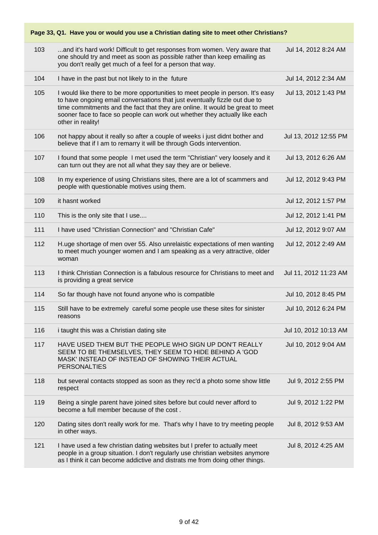| Page 33, Q1. Have you or would you use a Christian dating site to meet other Christians? |                                                                                                                                                                                                                                                                                                                                                   |                       |  |
|------------------------------------------------------------------------------------------|---------------------------------------------------------------------------------------------------------------------------------------------------------------------------------------------------------------------------------------------------------------------------------------------------------------------------------------------------|-----------------------|--|
| 103                                                                                      | and it's hard work! Difficult to get responses from women. Very aware that<br>one should try and meet as soon as possible rather than keep emailing as<br>you don't really get much of a feel for a person that way.                                                                                                                              | Jul 14, 2012 8:24 AM  |  |
| 104                                                                                      | I have in the past but not likely to in the future                                                                                                                                                                                                                                                                                                | Jul 14, 2012 2:34 AM  |  |
| 105                                                                                      | I would like there to be more opportunities to meet people in person. It's easy<br>to have ongoing email conversations that just eventually fizzle out due to<br>time commitments and the fact that they are online. It would be great to meet<br>sooner face to face so people can work out whether they actually like each<br>other in reality! | Jul 13, 2012 1:43 PM  |  |
| 106                                                                                      | not happy about it really so after a couple of weeks i just didnt bother and<br>believe that if I am to remarry it will be through Gods intervention.                                                                                                                                                                                             | Jul 13, 2012 12:55 PM |  |
| 107                                                                                      | I found that some people I met used the term "Christian" very loosely and it<br>can turn out they are not all what they say they are or believe.                                                                                                                                                                                                  | Jul 13, 2012 6:26 AM  |  |
| 108                                                                                      | In my experience of using Christians sites, there are a lot of scammers and<br>people with questionable motives using them.                                                                                                                                                                                                                       | Jul 12, 2012 9:43 PM  |  |
| 109                                                                                      | it hasnt worked                                                                                                                                                                                                                                                                                                                                   | Jul 12, 2012 1:57 PM  |  |
| 110                                                                                      | This is the only site that I use                                                                                                                                                                                                                                                                                                                  | Jul 12, 2012 1:41 PM  |  |
| 111                                                                                      | I have used "Christian Connection" and "Christian Cafe"                                                                                                                                                                                                                                                                                           | Jul 12, 2012 9:07 AM  |  |
| 112                                                                                      | H.uge shortage of men over 55. Also unrelaistic expectations of men wanting<br>to meet much younger women and I am speaking as a very attractive, older<br>woman                                                                                                                                                                                  | Jul 12, 2012 2:49 AM  |  |
| 113                                                                                      | I think Christian Connection is a fabulous resource for Christians to meet and<br>is providing a great service                                                                                                                                                                                                                                    | Jul 11, 2012 11:23 AM |  |
| 114                                                                                      | So far though have not found anyone who is compatible                                                                                                                                                                                                                                                                                             | Jul 10, 2012 8:45 PM  |  |
| 115                                                                                      | Still have to be extremely careful some people use these sites for sinister<br>reasons                                                                                                                                                                                                                                                            | Jul 10, 2012 6:24 PM  |  |
| 116                                                                                      | i taught this was a Christian dating site                                                                                                                                                                                                                                                                                                         | Jul 10, 2012 10:13 AM |  |
| 117                                                                                      | HAVE USED THEM BUT THE PEOPLE WHO SIGN UP DON'T REALLY<br>SEEM TO BE THEMSELVES, THEY SEEM TO HIDE BEHIND A 'GOD<br>MASK' INSTEAD OF INSTEAD OF SHOWING THEIR ACTUAL<br><b>PERSONALTIES</b>                                                                                                                                                       | Jul 10, 2012 9:04 AM  |  |
| 118                                                                                      | but several contacts stopped as soon as they rec'd a photo some show little<br>respect                                                                                                                                                                                                                                                            | Jul 9, 2012 2:55 PM   |  |
| 119                                                                                      | Being a single parent have joined sites before but could never afford to<br>become a full member because of the cost.                                                                                                                                                                                                                             | Jul 9, 2012 1:22 PM   |  |
| 120                                                                                      | Dating sites don't really work for me. That's why I have to try meeting people<br>in other ways.                                                                                                                                                                                                                                                  | Jul 8, 2012 9:53 AM   |  |
| 121                                                                                      | I have used a few christian dating websites but I prefer to actually meet<br>people in a group situation. I don't regularly use christian websites anymore<br>as I think it can become addictive and distrats me from doing other things.                                                                                                         | Jul 8, 2012 4:25 AM   |  |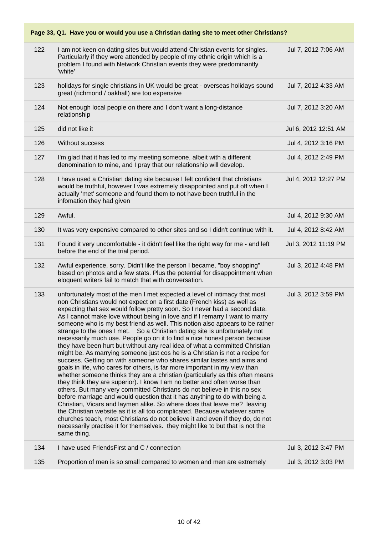#### **Page 33, Q1. Have you or would you use a Christian dating site to meet other Christians?** 122 I am not keen on dating sites but would attend Christian events for singles. Particularly if they were attended by people of my ethnic origin which is a problem I found with Network Christian events they were predominantly 'white' Jul 7, 2012 7:06 AM 123 holidays for single christians in UK would be great - overseas holidays sound great (richmond / oakhall) are too expensive Jul 7, 2012 4:33 AM 124 Not enough local people on there and I don't want a long-distance relationship Jul 7, 2012 3:20 AM 125 did not like it Jul 6, 2012 12:51 AM 126 Without success Jul 4, 2012 3:16 PM 127 I'm glad that it has led to my meeting someone, albeit with a different denomination to mine, and I pray that our relationship will develop. Jul 4, 2012 2:49 PM 128 I have used a Christian dating site because I felt confident that christians would be truthful, however I was extremely disappointed and put off when I actually 'met' someone and found them to not have been truthful in the infomation they had given Jul 4, 2012 12:27 PM 129 Awful. Jul 4, 2012 9:30 AM 130 It was very expensive compared to other sites and so I didn't continue with it. Jul 4, 2012 8:42 AM 131 Found it very uncomfortable - it didn't feel like the right way for me - and left before the end of the trial period. Jul 3, 2012 11:19 PM 132 Awful experience, sorry. Didn't like the person I became, "boy shopping" based on photos and a few stats. Plus the potential for disappointment when eloquent writers fail to match that with conversation. Jul 3, 2012 4:48 PM 133 unfortunately most of the men I met expected a level of intimacy that most non Christians would not expect on a first date (French kiss) as well as expecting that sex would follow pretty soon. So I never had a second date. As I cannot make love without being in love and if I remarry I want to marry someone who is my best friend as well. This notion also appears to be rather strange to the ones I met. So a Christian dating site is unfortunately not necessarily much use. People go on it to find a nice honest person because they have been hurt but without any real idea of what a committed Christian might be. As marrying someone just cos he is a Christian is not a recipe for success. Getting on with someone who shares similar tastes and aims and goals in life, who cares for others, is far more important in my view than whether someone thinks they are a christian (particularly as this often means they think they are superior). I know I am no better and often worse than others. But many very committed Christians do not believe in this no sex before marriage and would question that it has anything to do with being a Christian, Vicars and laymen alike. So where does that leave me? leaving the Christian website as it is all too complicated. Because whatever some churches teach, most Christians do not believe it and even if they do, do not necessarily practise it for themselves. they might like to but that is not the same thing. Jul 3, 2012 3:59 PM 134 I have used FriendsFirst and C / connection Jul 3, 2012 3:47 PM 135 Proportion of men is so small compared to women and men are extremely Jul 3, 2012 3:03 PM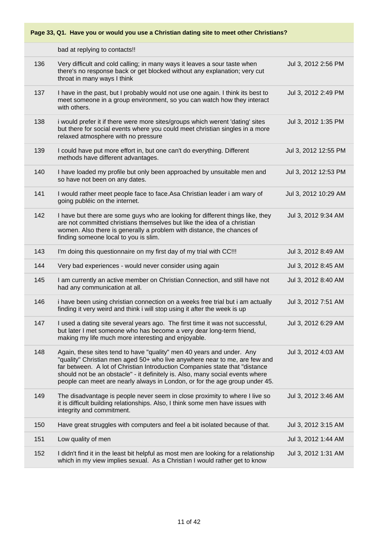|     | bad at replying to contacts!!                                                                                                                                                                                                                                                                                                                                                                      |                      |
|-----|----------------------------------------------------------------------------------------------------------------------------------------------------------------------------------------------------------------------------------------------------------------------------------------------------------------------------------------------------------------------------------------------------|----------------------|
| 136 | Very difficult and cold calling; in many ways it leaves a sour taste when<br>there's no response back or get blocked without any explanation; very cut<br>throat in many ways I think                                                                                                                                                                                                              | Jul 3, 2012 2:56 PM  |
| 137 | I have in the past, but I probably would not use one again. I think its best to<br>meet someone in a group environment, so you can watch how they interact<br>with others.                                                                                                                                                                                                                         | Jul 3, 2012 2:49 PM  |
| 138 | i would prefer it if there were more sites/groups which werent 'dating' sites<br>but there for social events where you could meet christian singles in a more<br>relaxed atmosphere with no pressure                                                                                                                                                                                               | Jul 3, 2012 1:35 PM  |
| 139 | I could have put more effort in, but one can't do everything. Different<br>methods have different advantages.                                                                                                                                                                                                                                                                                      | Jul 3, 2012 12:55 PM |
| 140 | I have loaded my profile but only been approached by unsuitable men and<br>so have not been on any dates.                                                                                                                                                                                                                                                                                          | Jul 3, 2012 12:53 PM |
| 141 | I would rather meet people face to face. Asa Christian leader i am wary of<br>going publéic on the internet.                                                                                                                                                                                                                                                                                       | Jul 3, 2012 10:29 AM |
| 142 | I have but there are some guys who are looking for different things like, they<br>are not committed christians themselves but like the idea of a christian<br>women. Also there is generally a problem with distance, the chances of<br>finding someone local to you is slim.                                                                                                                      | Jul 3, 2012 9:34 AM  |
| 143 | I'm doing this questionnaire on my first day of my trial with CC!!!                                                                                                                                                                                                                                                                                                                                | Jul 3, 2012 8:49 AM  |
| 144 | Very bad experiences - would never consider using again                                                                                                                                                                                                                                                                                                                                            | Jul 3, 2012 8:45 AM  |
| 145 | I am currently an active member on Christian Connection, and still have not<br>had any communication at all.                                                                                                                                                                                                                                                                                       | Jul 3, 2012 8:40 AM  |
| 146 | i have been using christian connection on a weeks free trial but i am actually<br>finding it very weird and think i will stop using it after the week is up                                                                                                                                                                                                                                        | Jul 3, 2012 7:51 AM  |
| 147 | I used a dating site several years ago. The first time it was not successful,<br>but later I met someone who has become a very dear long-term friend,<br>making my life much more interesting and enjoyable.                                                                                                                                                                                       | Jul 3, 2012 6:29 AM  |
| 148 | Again, these sites tend to have "quality" men 40 years and under. Any<br>"quality" Christian men aged 50+ who live anywhere near to me, are few and<br>far between. A lot of Christian Introduction Companies state that "distance<br>should not be an obstacle" - it definitely is. Also, many social events where<br>people can meet are nearly always in London, or for the age group under 45. | Jul 3, 2012 4:03 AM  |
| 149 | The disadvantage is people never seem in close proximity to where I live so<br>it is difficult building relationships. Also, I think some men have issues with<br>integrity and commitment.                                                                                                                                                                                                        | Jul 3, 2012 3:46 AM  |
| 150 | Have great struggles with computers and feel a bit isolated because of that.                                                                                                                                                                                                                                                                                                                       | Jul 3, 2012 3:15 AM  |
| 151 | Low quality of men                                                                                                                                                                                                                                                                                                                                                                                 | Jul 3, 2012 1:44 AM  |
| 152 | I didn't find it in the least bit helpful as most men are looking for a relationship<br>which in my view implies sexual. As a Christian I would rather get to know                                                                                                                                                                                                                                 | Jul 3, 2012 1:31 AM  |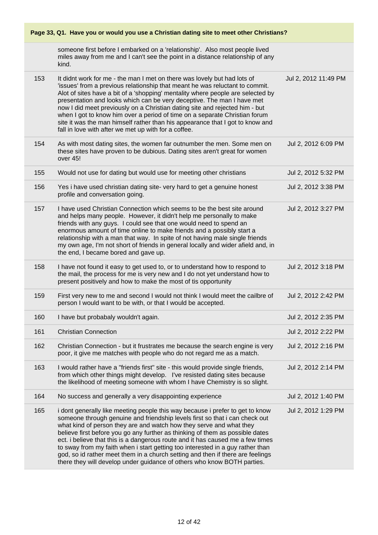| Page 33, Q1. Have you or would you use a Christian dating site to meet other Christians? |                                                                                                                                                                                                                                                                                                                                                                                                                                                                                                                                                                                                                                                       |                      |  |
|------------------------------------------------------------------------------------------|-------------------------------------------------------------------------------------------------------------------------------------------------------------------------------------------------------------------------------------------------------------------------------------------------------------------------------------------------------------------------------------------------------------------------------------------------------------------------------------------------------------------------------------------------------------------------------------------------------------------------------------------------------|----------------------|--|
|                                                                                          | someone first before I embarked on a 'relationship'. Also most people lived<br>miles away from me and I can't see the point in a distance relationship of any<br>kind.                                                                                                                                                                                                                                                                                                                                                                                                                                                                                |                      |  |
| 153                                                                                      | It didnt work for me - the man I met on there was lovely but had lots of<br>'issues' from a previous relationship that meant he was reluctant to commit.<br>Alot of sites have a bit of a 'shopping' mentality where people are selected by<br>presentation and looks which can be very deceptive. The man I have met<br>now I did meet previously on a Christian dating site and rejected him - but<br>when I got to know him over a period of time on a separate Christian forum<br>site it was the man himself rather than his appearance that I got to know and<br>fall in love with after we met up with for a coffee.                           | Jul 2, 2012 11:49 PM |  |
| 154                                                                                      | As with most dating sites, the women far outnumber the men. Some men on<br>these sites have proven to be dubious. Dating sites aren't great for women<br>over 45!                                                                                                                                                                                                                                                                                                                                                                                                                                                                                     | Jul 2, 2012 6:09 PM  |  |
| 155                                                                                      | Would not use for dating but would use for meeting other christians                                                                                                                                                                                                                                                                                                                                                                                                                                                                                                                                                                                   | Jul 2, 2012 5:32 PM  |  |
| 156                                                                                      | Yes i have used christian dating site- very hard to get a genuine honest<br>profile and conversation going.                                                                                                                                                                                                                                                                                                                                                                                                                                                                                                                                           | Jul 2, 2012 3:38 PM  |  |
| 157                                                                                      | I have used Christian Connection which seems to be the best site around<br>and helps many people. However, it didn't help me personally to make<br>friends with any guys. I could see that one would need to spend an<br>enormous amount of time online to make friends and a possibly start a<br>relationship with a man that way. In spite of not having male single friends<br>my own age, I'm not short of friends in general locally and wider afield and, in<br>the end, I became bored and gave up.                                                                                                                                            | Jul 2, 2012 3:27 PM  |  |
| 158                                                                                      | I have not found it easy to get used to, or to understand how to respond to<br>the mail, the process for me is very new and I do not yet understand how to<br>present positively and how to make the most of tis opportunity                                                                                                                                                                                                                                                                                                                                                                                                                          | Jul 2, 2012 3:18 PM  |  |
| 159                                                                                      | First very new to me and second I would not think I would meet the cailbre of<br>person I would want to be with, or that I would be accepted.                                                                                                                                                                                                                                                                                                                                                                                                                                                                                                         | Jul 2, 2012 2:42 PM  |  |
| 160                                                                                      | I have but probabaly wouldn't again.                                                                                                                                                                                                                                                                                                                                                                                                                                                                                                                                                                                                                  | Jul 2, 2012 2:35 PM  |  |
| 161                                                                                      | <b>Christian Connection</b>                                                                                                                                                                                                                                                                                                                                                                                                                                                                                                                                                                                                                           | Jul 2, 2012 2:22 PM  |  |
| 162                                                                                      | Christian Connection - but it frustrates me because the search engine is very<br>poor, it give me matches with people who do not regard me as a match.                                                                                                                                                                                                                                                                                                                                                                                                                                                                                                | Jul 2, 2012 2:16 PM  |  |
| 163                                                                                      | I would rather have a "friends first" site - this would provide single friends,<br>from which other things might develop. I've resisted dating sites because<br>the likelihood of meeting someone with whom I have Chemistry is so slight.                                                                                                                                                                                                                                                                                                                                                                                                            | Jul 2, 2012 2:14 PM  |  |
| 164                                                                                      | No success and generally a very disappointing experience                                                                                                                                                                                                                                                                                                                                                                                                                                                                                                                                                                                              | Jul 2, 2012 1:40 PM  |  |
| 165                                                                                      | i dont generally like meeting people this way because i prefer to get to know<br>someone through genuine and friendship levels first so that i can check out<br>what kind of person they are and watch how they serve and what they<br>believe first before you go any further as thinking of them as possible dates<br>ect. i believe that this is a dangerous route and it has caused me a few times<br>to sway from my faith when i start getting too interested in a guy rather than<br>god, so id rather meet them in a church setting and then if there are feelings<br>there they will develop under guidance of others who know BOTH parties. | Jul 2, 2012 1:29 PM  |  |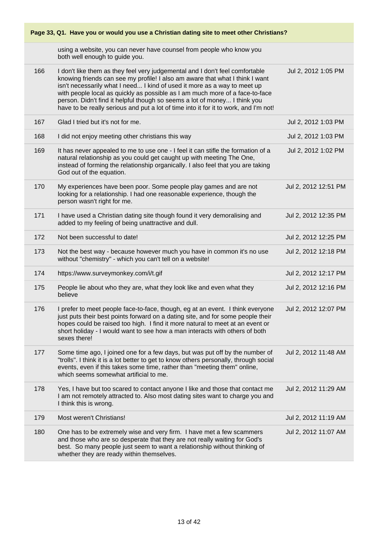| Page 33, Q1. Have you or would you use a Christian dating site to meet other Christians? |                                                                                                                                                                                                                                                                                                                                                                                                                                                                                               |                      |  |
|------------------------------------------------------------------------------------------|-----------------------------------------------------------------------------------------------------------------------------------------------------------------------------------------------------------------------------------------------------------------------------------------------------------------------------------------------------------------------------------------------------------------------------------------------------------------------------------------------|----------------------|--|
|                                                                                          | using a website, you can never have counsel from people who know you<br>both well enough to guide you.                                                                                                                                                                                                                                                                                                                                                                                        |                      |  |
| 166                                                                                      | I don't like them as they feel very judgemental and I don't feel comfortable<br>knowing friends can see my profile! I also am aware that what I think I want<br>isn't necessarily what I need I kind of used it more as a way to meet up<br>with people local as quickly as possible as I am much more of a face-to-face<br>person. Didn't find it helpful though so seems a lot of money I think you<br>have to be really serious and put a lot of time into it for it to work, and I'm not! | Jul 2, 2012 1:05 PM  |  |
| 167                                                                                      | Glad I tried but it's not for me.                                                                                                                                                                                                                                                                                                                                                                                                                                                             | Jul 2, 2012 1:03 PM  |  |
| 168                                                                                      | I did not enjoy meeting other christians this way                                                                                                                                                                                                                                                                                                                                                                                                                                             | Jul 2, 2012 1:03 PM  |  |
| 169                                                                                      | It has never appealed to me to use one - I feel it can stifle the formation of a<br>natural relationship as you could get caught up with meeting The One,<br>instead of forming the relationship organically. I also feel that you are taking<br>God out of the equation.                                                                                                                                                                                                                     | Jul 2, 2012 1:02 PM  |  |
| 170                                                                                      | My experiences have been poor. Some people play games and are not<br>looking for a relationship. I had one reasonable experience, though the<br>person wasn't right for me.                                                                                                                                                                                                                                                                                                                   | Jul 2, 2012 12:51 PM |  |
| 171                                                                                      | I have used a Christian dating site though found it very demoralising and<br>added to my feeling of being unattractive and dull.                                                                                                                                                                                                                                                                                                                                                              | Jul 2, 2012 12:35 PM |  |
| 172                                                                                      | Not been successful to date!                                                                                                                                                                                                                                                                                                                                                                                                                                                                  | Jul 2, 2012 12:25 PM |  |
| 173                                                                                      | Not the best way - because however much you have in common it's no use<br>without "chemistry" - which you can't tell on a website!                                                                                                                                                                                                                                                                                                                                                            | Jul 2, 2012 12:18 PM |  |
| 174                                                                                      | https://www.surveymonkey.com/i/t.gif                                                                                                                                                                                                                                                                                                                                                                                                                                                          | Jul 2, 2012 12:17 PM |  |
| 175                                                                                      | People lie about who they are, what they look like and even what they<br>believe                                                                                                                                                                                                                                                                                                                                                                                                              | Jul 2, 2012 12:16 PM |  |
| 176                                                                                      | I prefer to meet people face-to-face, though, eg at an event. I think everyone<br>just puts their best points forward on a dating site, and for some people their<br>hopes could be raised too high. I find it more natural to meet at an event or<br>short holiday - I would want to see how a man interacts with others of both<br>sexes there!                                                                                                                                             | Jul 2, 2012 12:07 PM |  |
| 177                                                                                      | Some time ago, I joined one for a few days, but was put off by the number of<br>"trolls". I think it is a lot better to get to know others personally, through social<br>events, even if this takes some time, rather than "meeting them" online,<br>which seems somewhat artificial to me.                                                                                                                                                                                                   | Jul 2, 2012 11:48 AM |  |
| 178                                                                                      | Yes, I have but too scared to contact anyone I like and those that contact me<br>I am not remotely attracted to. Also most dating sites want to charge you and<br>I think this is wrong.                                                                                                                                                                                                                                                                                                      | Jul 2, 2012 11:29 AM |  |
| 179                                                                                      | Most weren't Christians!                                                                                                                                                                                                                                                                                                                                                                                                                                                                      | Jul 2, 2012 11:19 AM |  |
| 180                                                                                      | One has to be extremely wise and very firm. I have met a few scammers<br>and those who are so desperate that they are not really waiting for God's<br>best. So many people just seem to want a relationship without thinking of<br>whether they are ready within themselves.                                                                                                                                                                                                                  | Jul 2, 2012 11:07 AM |  |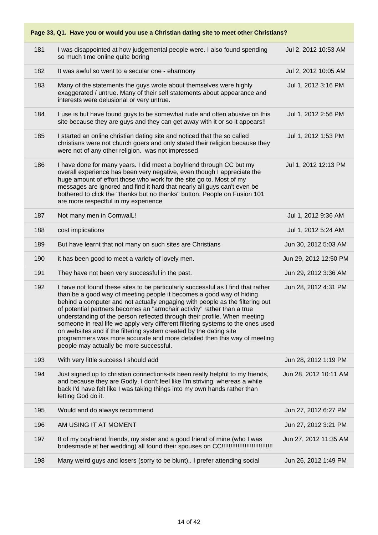| 181 | I was disappointed at how judgemental people were. I also found spending<br>so much time online quite boring                                                                                                                                                                                                                                                                                                                                                                                                                                                                                                                                                                     | Jul 2, 2012 10:53 AM  |
|-----|----------------------------------------------------------------------------------------------------------------------------------------------------------------------------------------------------------------------------------------------------------------------------------------------------------------------------------------------------------------------------------------------------------------------------------------------------------------------------------------------------------------------------------------------------------------------------------------------------------------------------------------------------------------------------------|-----------------------|
| 182 | It was awful so went to a secular one - eharmony                                                                                                                                                                                                                                                                                                                                                                                                                                                                                                                                                                                                                                 | Jul 2, 2012 10:05 AM  |
| 183 | Many of the statements the guys wrote about themselves were highly<br>exaggerated / untrue. Many of their self statements about appearance and<br>interests were delusional or very untrue.                                                                                                                                                                                                                                                                                                                                                                                                                                                                                      | Jul 1, 2012 3:16 PM   |
| 184 | I use is but have found guys to be somewhat rude and often abusive on this<br>site because they are guys and they can get away with it or so it appears!!                                                                                                                                                                                                                                                                                                                                                                                                                                                                                                                        | Jul 1, 2012 2:56 PM   |
| 185 | I started an online christian dating site and noticed that the so called<br>christians were not church goers and only stated their religion because they<br>were not of any other religion. was not impressed                                                                                                                                                                                                                                                                                                                                                                                                                                                                    | Jul 1, 2012 1:53 PM   |
| 186 | I have done for many years. I did meet a boyfriend through CC but my<br>overall experience has been very negative, even though I appreciate the<br>huge amount of effort those who work for the site go to. Most of my<br>messages are ignored and find it hard that nearly all guys can't even be<br>bothered to click the "thanks but no thanks" button. People on Fusion 101<br>are more respectful in my experience                                                                                                                                                                                                                                                          | Jul 1, 2012 12:13 PM  |
| 187 | Not many men in CornwalL!                                                                                                                                                                                                                                                                                                                                                                                                                                                                                                                                                                                                                                                        | Jul 1, 2012 9:36 AM   |
| 188 | cost implications                                                                                                                                                                                                                                                                                                                                                                                                                                                                                                                                                                                                                                                                | Jul 1, 2012 5:24 AM   |
| 189 | But have learnt that not many on such sites are Christians                                                                                                                                                                                                                                                                                                                                                                                                                                                                                                                                                                                                                       | Jun 30, 2012 5:03 AM  |
| 190 | it has been good to meet a variety of lovely men.                                                                                                                                                                                                                                                                                                                                                                                                                                                                                                                                                                                                                                | Jun 29, 2012 12:50 PM |
| 191 | They have not been very successful in the past.                                                                                                                                                                                                                                                                                                                                                                                                                                                                                                                                                                                                                                  | Jun 29, 2012 3:36 AM  |
| 192 | I have not found these sites to be particularly successful as I find that rather<br>than be a good way of meeting people it becomes a good way of hiding<br>behind a computer and not actually engaging with people as the filtering out<br>of potential partners becomes an "armchair activity" rather than a true<br>understanding of the person reflected through their profile. When meeting<br>someone in real life we apply very different filtering systems to the ones used<br>on websites and if the filtering system created by the dating site<br>programmers was more accurate and more detailed then this way of meeting<br>people may actually be more successful. | Jun 28, 2012 4:31 PM  |
| 193 | With very little success I should add                                                                                                                                                                                                                                                                                                                                                                                                                                                                                                                                                                                                                                            | Jun 28, 2012 1:19 PM  |
| 194 | Just signed up to christian connections-its been really helpful to my friends,<br>and because they are Godly, I don't feel like I'm striving, whereas a while<br>back I'd have felt like I was taking things into my own hands rather than<br>letting God do it.                                                                                                                                                                                                                                                                                                                                                                                                                 | Jun 28, 2012 10:11 AM |
| 195 | Would and do always recommend                                                                                                                                                                                                                                                                                                                                                                                                                                                                                                                                                                                                                                                    | Jun 27, 2012 6:27 PM  |
| 196 | AM USING IT AT MOMENT                                                                                                                                                                                                                                                                                                                                                                                                                                                                                                                                                                                                                                                            | Jun 27, 2012 3:21 PM  |
| 197 | 8 of my boyfriend friends, my sister and a good friend of mine (who I was                                                                                                                                                                                                                                                                                                                                                                                                                                                                                                                                                                                                        | Jun 27, 2012 11:35 AM |
| 198 | Many weird guys and losers (sorry to be blunt) I prefer attending social                                                                                                                                                                                                                                                                                                                                                                                                                                                                                                                                                                                                         | Jun 26, 2012 1:49 PM  |
|     |                                                                                                                                                                                                                                                                                                                                                                                                                                                                                                                                                                                                                                                                                  |                       |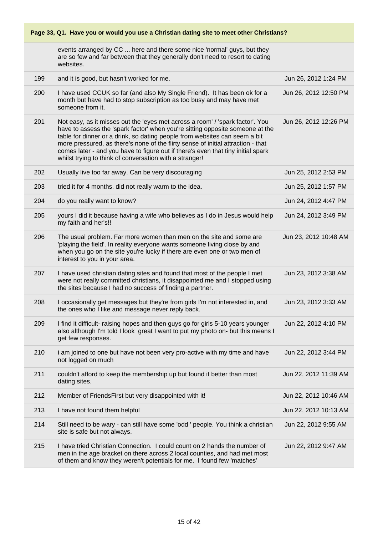| Page 33, Q1. Have you or would you use a Christian dating site to meet other Christians? |                                                                                                                                                                                                                                                                                                                                                                                                                                                                                 |                       |  |
|------------------------------------------------------------------------------------------|---------------------------------------------------------------------------------------------------------------------------------------------------------------------------------------------------------------------------------------------------------------------------------------------------------------------------------------------------------------------------------------------------------------------------------------------------------------------------------|-----------------------|--|
|                                                                                          | events arranged by CC  here and there some nice 'normal' guys, but they<br>are so few and far between that they generally don't need to resort to dating<br>websites.                                                                                                                                                                                                                                                                                                           |                       |  |
| 199                                                                                      | and it is good, but hasn't worked for me.                                                                                                                                                                                                                                                                                                                                                                                                                                       | Jun 26, 2012 1:24 PM  |  |
| 200                                                                                      | I have used CCUK so far (and also My Single Friend). It has been ok for a<br>month but have had to stop subscription as too busy and may have met<br>someone from it.                                                                                                                                                                                                                                                                                                           | Jun 26, 2012 12:50 PM |  |
| 201                                                                                      | Not easy, as it misses out the 'eyes met across a room' / 'spark factor'. You<br>have to assess the 'spark factor' when you're sitting opposite someone at the<br>table for dinner or a drink, so dating people from websites can seem a bit<br>more pressured, as there's none of the flirty sense of initial attraction - that<br>comes later - and you have to figure out if there's even that tiny initial spark<br>whilst trying to think of conversation with a stranger! | Jun 26, 2012 12:26 PM |  |
| 202                                                                                      | Usually live too far away. Can be very discouraging                                                                                                                                                                                                                                                                                                                                                                                                                             | Jun 25, 2012 2:53 PM  |  |
| 203                                                                                      | tried it for 4 months. did not really warm to the idea.                                                                                                                                                                                                                                                                                                                                                                                                                         | Jun 25, 2012 1:57 PM  |  |
| 204                                                                                      | do you really want to know?                                                                                                                                                                                                                                                                                                                                                                                                                                                     | Jun 24, 2012 4:47 PM  |  |
| 205                                                                                      | yours I did it because having a wife who believes as I do in Jesus would help<br>my faith and her's!!                                                                                                                                                                                                                                                                                                                                                                           | Jun 24, 2012 3:49 PM  |  |
| 206                                                                                      | The usual problem. Far more women than men on the site and some are<br>'playing the field'. In reality everyone wants someone living close by and<br>when you go on the site you're lucky if there are even one or two men of<br>interest to you in your area.                                                                                                                                                                                                                  | Jun 23, 2012 10:48 AM |  |
| 207                                                                                      | I have used christian dating sites and found that most of the people I met<br>were not really committed christians, it disappointed me and I stopped using<br>the sites because I had no success of finding a partner.                                                                                                                                                                                                                                                          | Jun 23, 2012 3:38 AM  |  |
| 208                                                                                      | I occasionally get messages but they're from girls I'm not interested in, and<br>the ones who I like and message never reply back.                                                                                                                                                                                                                                                                                                                                              | Jun 23, 2012 3:33 AM  |  |
| 209                                                                                      | I find it difficult- raising hopes and then guys go for girls 5-10 years younger<br>also although I'm told I look great I want to put my photo on- but this means I<br>get few responses.                                                                                                                                                                                                                                                                                       | Jun 22, 2012 4:10 PM  |  |
| 210                                                                                      | i am joined to one but have not been very pro-active with my time and have<br>not logged on much                                                                                                                                                                                                                                                                                                                                                                                | Jun 22, 2012 3:44 PM  |  |
| 211                                                                                      | couldn't afford to keep the membership up but found it better than most<br>dating sites.                                                                                                                                                                                                                                                                                                                                                                                        | Jun 22, 2012 11:39 AM |  |
| 212                                                                                      | Member of FriendsFirst but very disappointed with it!                                                                                                                                                                                                                                                                                                                                                                                                                           | Jun 22, 2012 10:46 AM |  |
| 213                                                                                      | I have not found them helpful                                                                                                                                                                                                                                                                                                                                                                                                                                                   | Jun 22, 2012 10:13 AM |  |
| 214                                                                                      | Still need to be wary - can still have some 'odd ' people. You think a christian<br>site is safe but not always.                                                                                                                                                                                                                                                                                                                                                                | Jun 22, 2012 9:55 AM  |  |
| 215                                                                                      | I have tried Christian Connection. I could count on 2 hands the number of<br>men in the age bracket on there across 2 local counties, and had met most<br>of them and know they weren't potentials for me. I found few 'matches'                                                                                                                                                                                                                                                | Jun 22, 2012 9:47 AM  |  |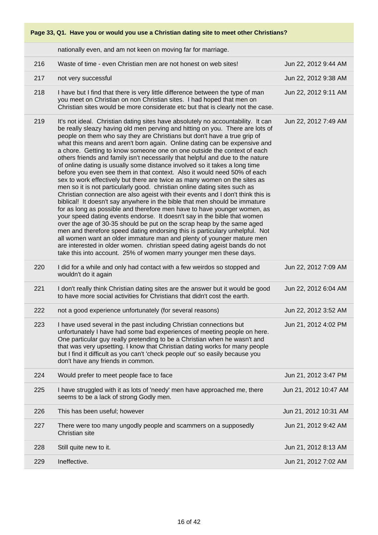|     | nationally even, and am not keen on moving far for marriage.                                                                                                                                                                                                                                                                                                                                                                                                                                                                                                                                                                                                                                                                                                                                                                                                                                                                                                                                                                                                                                                                                                                                                                                                                                                                                                                                                                                                                                                               |                       |
|-----|----------------------------------------------------------------------------------------------------------------------------------------------------------------------------------------------------------------------------------------------------------------------------------------------------------------------------------------------------------------------------------------------------------------------------------------------------------------------------------------------------------------------------------------------------------------------------------------------------------------------------------------------------------------------------------------------------------------------------------------------------------------------------------------------------------------------------------------------------------------------------------------------------------------------------------------------------------------------------------------------------------------------------------------------------------------------------------------------------------------------------------------------------------------------------------------------------------------------------------------------------------------------------------------------------------------------------------------------------------------------------------------------------------------------------------------------------------------------------------------------------------------------------|-----------------------|
| 216 | Waste of time - even Christian men are not honest on web sites!                                                                                                                                                                                                                                                                                                                                                                                                                                                                                                                                                                                                                                                                                                                                                                                                                                                                                                                                                                                                                                                                                                                                                                                                                                                                                                                                                                                                                                                            | Jun 22, 2012 9:44 AM  |
| 217 | not very successful                                                                                                                                                                                                                                                                                                                                                                                                                                                                                                                                                                                                                                                                                                                                                                                                                                                                                                                                                                                                                                                                                                                                                                                                                                                                                                                                                                                                                                                                                                        | Jun 22, 2012 9:38 AM  |
| 218 | I have but I find that there is very little difference between the type of man<br>you meet on Christian on non Christian sites. I had hoped that men on<br>Christian sites would be more considerate etc but that is clearly not the case.                                                                                                                                                                                                                                                                                                                                                                                                                                                                                                                                                                                                                                                                                                                                                                                                                                                                                                                                                                                                                                                                                                                                                                                                                                                                                 | Jun 22, 2012 9:11 AM  |
| 219 | It's not ideal. Christian dating sites have absolutely no accountability. It can<br>be really sleazy having old men perving and hitting on you. There are lots of<br>people on them who say they are Christians but don't have a true grip of<br>what this means and aren't born again. Online dating can be expensive and<br>a chore. Getting to know someone one on one outside the context of each<br>others friends and family isn't necessarily that helpful and due to the nature<br>of online dating is usually some distance involved so it takes a long time<br>before you even see them in that context. Also it would need 50% of each<br>sex to work effectively but there are twice as many women on the sites as<br>men so it is not particularly good. christian online dating sites such as<br>Christian connection are also ageist with their events and I don't think this is<br>biblical! It doesn't say anywhere in the bible that men should be immature<br>for as long as possible and therefore men have to have younger women, as<br>your speed dating events endorse. It doesn't say in the bible that women<br>over the age of 30-35 should be put on the scrap heap by the same aged<br>men and therefore speed dating endorsing this is particulary unhelpful. Not<br>all women want an older immature man and plenty of younger mature men<br>are interested in older women. christian speed dating ageist bands do not<br>take this into account. 25% of women marry younger men these days. | Jun 22, 2012 7:49 AM  |
| 220 | I did for a while and only had contact with a few weirdos so stopped and<br>wouldn't do it again                                                                                                                                                                                                                                                                                                                                                                                                                                                                                                                                                                                                                                                                                                                                                                                                                                                                                                                                                                                                                                                                                                                                                                                                                                                                                                                                                                                                                           | Jun 22, 2012 7:09 AM  |
| 221 | I don't really think Christian dating sites are the answer but it would be good<br>to have more social activities for Christians that didn't cost the earth.                                                                                                                                                                                                                                                                                                                                                                                                                                                                                                                                                                                                                                                                                                                                                                                                                                                                                                                                                                                                                                                                                                                                                                                                                                                                                                                                                               | Jun 22, 2012 6:04 AM  |
| 222 | not a good experience unfortunately (for several reasons)                                                                                                                                                                                                                                                                                                                                                                                                                                                                                                                                                                                                                                                                                                                                                                                                                                                                                                                                                                                                                                                                                                                                                                                                                                                                                                                                                                                                                                                                  | Jun 22, 2012 3:52 AM  |
| 223 | I have used several in the past including Christian connections but<br>unfortunately I have had some bad experiences of meeting people on here.<br>One particular guy really pretending to be a Christian when he wasn't and<br>that was very upsetting. I know that Christian dating works for many people<br>but I find it difficult as you can't 'check people out' so easily because you<br>don't have any friends in common.                                                                                                                                                                                                                                                                                                                                                                                                                                                                                                                                                                                                                                                                                                                                                                                                                                                                                                                                                                                                                                                                                          | Jun 21, 2012 4:02 PM  |
| 224 | Would prefer to meet people face to face                                                                                                                                                                                                                                                                                                                                                                                                                                                                                                                                                                                                                                                                                                                                                                                                                                                                                                                                                                                                                                                                                                                                                                                                                                                                                                                                                                                                                                                                                   | Jun 21, 2012 3:47 PM  |
| 225 | I have struggled with it as lots of 'needy' men have approached me, there<br>seems to be a lack of strong Godly men.                                                                                                                                                                                                                                                                                                                                                                                                                                                                                                                                                                                                                                                                                                                                                                                                                                                                                                                                                                                                                                                                                                                                                                                                                                                                                                                                                                                                       | Jun 21, 2012 10:47 AM |
| 226 | This has been useful; however                                                                                                                                                                                                                                                                                                                                                                                                                                                                                                                                                                                                                                                                                                                                                                                                                                                                                                                                                                                                                                                                                                                                                                                                                                                                                                                                                                                                                                                                                              | Jun 21, 2012 10:31 AM |
| 227 | There were too many ungodly people and scammers on a supposedly<br>Christian site                                                                                                                                                                                                                                                                                                                                                                                                                                                                                                                                                                                                                                                                                                                                                                                                                                                                                                                                                                                                                                                                                                                                                                                                                                                                                                                                                                                                                                          | Jun 21, 2012 9:42 AM  |
| 228 | Still quite new to it.                                                                                                                                                                                                                                                                                                                                                                                                                                                                                                                                                                                                                                                                                                                                                                                                                                                                                                                                                                                                                                                                                                                                                                                                                                                                                                                                                                                                                                                                                                     | Jun 21, 2012 8:13 AM  |
| 229 | Ineffective.                                                                                                                                                                                                                                                                                                                                                                                                                                                                                                                                                                                                                                                                                                                                                                                                                                                                                                                                                                                                                                                                                                                                                                                                                                                                                                                                                                                                                                                                                                               | Jun 21, 2012 7:02 AM  |
|     |                                                                                                                                                                                                                                                                                                                                                                                                                                                                                                                                                                                                                                                                                                                                                                                                                                                                                                                                                                                                                                                                                                                                                                                                                                                                                                                                                                                                                                                                                                                            |                       |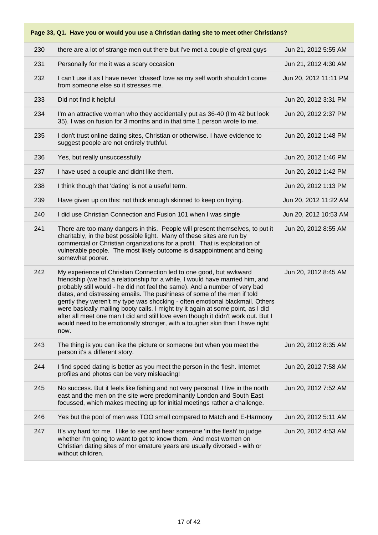| 230 | there are a lot of strange men out there but I've met a couple of great guys                                                                                                                                                                                                                                                                                                                                                                                                                                                                                                                                                                                 | Jun 21, 2012 5:55 AM  |
|-----|--------------------------------------------------------------------------------------------------------------------------------------------------------------------------------------------------------------------------------------------------------------------------------------------------------------------------------------------------------------------------------------------------------------------------------------------------------------------------------------------------------------------------------------------------------------------------------------------------------------------------------------------------------------|-----------------------|
| 231 | Personally for me it was a scary occasion                                                                                                                                                                                                                                                                                                                                                                                                                                                                                                                                                                                                                    | Jun 21, 2012 4:30 AM  |
| 232 | I can't use it as I have never 'chased' love as my self worth shouldn't come<br>from someone else so it stresses me.                                                                                                                                                                                                                                                                                                                                                                                                                                                                                                                                         | Jun 20, 2012 11:11 PM |
| 233 | Did not find it helpful                                                                                                                                                                                                                                                                                                                                                                                                                                                                                                                                                                                                                                      | Jun 20, 2012 3:31 PM  |
| 234 | I'm an attractive woman who they accidentally put as 36-40 (I'm 42 but look<br>35). I was on fusion for 3 months and in that time 1 person wrote to me.                                                                                                                                                                                                                                                                                                                                                                                                                                                                                                      | Jun 20, 2012 2:37 PM  |
| 235 | I don't trust online dating sites, Christian or otherwise. I have evidence to<br>suggest people are not entirely truthful.                                                                                                                                                                                                                                                                                                                                                                                                                                                                                                                                   | Jun 20, 2012 1:48 PM  |
| 236 | Yes, but really unsuccessfully                                                                                                                                                                                                                                                                                                                                                                                                                                                                                                                                                                                                                               | Jun 20, 2012 1:46 PM  |
| 237 | I have used a couple and didnt like them.                                                                                                                                                                                                                                                                                                                                                                                                                                                                                                                                                                                                                    | Jun 20, 2012 1:42 PM  |
| 238 | I think though that 'dating' is not a useful term.                                                                                                                                                                                                                                                                                                                                                                                                                                                                                                                                                                                                           | Jun 20, 2012 1:13 PM  |
| 239 | Have given up on this: not thick enough skinned to keep on trying.                                                                                                                                                                                                                                                                                                                                                                                                                                                                                                                                                                                           | Jun 20, 2012 11:22 AM |
| 240 | I did use Christian Connection and Fusion 101 when I was single                                                                                                                                                                                                                                                                                                                                                                                                                                                                                                                                                                                              | Jun 20, 2012 10:53 AM |
| 241 | There are too many dangers in this. People will present themselves, to put it<br>charitably, in the best possible light. Many of these sites are run by<br>commercial or Christian organizations for a profit. That is exploitation of<br>vulnerable people. The most likely outcome is disappointment and being<br>somewhat poorer.                                                                                                                                                                                                                                                                                                                         | Jun 20, 2012 8:55 AM  |
| 242 | My experience of Christian Connection led to one good, but awkward<br>friendship (we had a relationship for a while, I would have married him, and<br>probably still would - he did not feel the same). And a number of very bad<br>dates, and distressing emails. The pushiness of some of the men if told<br>gently they weren't my type was shocking - often emotional blackmail. Others<br>were basically mailing booty calls. I might try it again at some point, as I did<br>after all meet one man I did and still love even though it didn't work out. But I<br>would need to be emotionally stronger, with a tougher skin than I have right<br>now. | Jun 20, 2012 8:45 AM  |
| 243 | The thing is you can like the picture or someone but when you meet the<br>person it's a different story.                                                                                                                                                                                                                                                                                                                                                                                                                                                                                                                                                     | Jun 20, 2012 8:35 AM  |
| 244 | I find speed dating is better as you meet the person in the flesh. Internet<br>profiles and photos can be very misleading!                                                                                                                                                                                                                                                                                                                                                                                                                                                                                                                                   | Jun 20, 2012 7:58 AM  |
| 245 | No success. But it feels like fishing and not very personal. I live in the north<br>east and the men on the site were predominantly London and South East<br>focussed, which makes meeting up for initial meetings rather a challenge.                                                                                                                                                                                                                                                                                                                                                                                                                       | Jun 20, 2012 7:52 AM  |
| 246 | Yes but the pool of men was TOO small compared to Match and E-Harmony                                                                                                                                                                                                                                                                                                                                                                                                                                                                                                                                                                                        | Jun 20, 2012 5:11 AM  |
| 247 | It's vry hard for me. I like to see and hear someone 'in the flesh' to judge<br>whether I'm going to want to get to know them. And most women on<br>Christian dating sites of mor emature years are usually divorsed - with or<br>without children.                                                                                                                                                                                                                                                                                                                                                                                                          | Jun 20, 2012 4:53 AM  |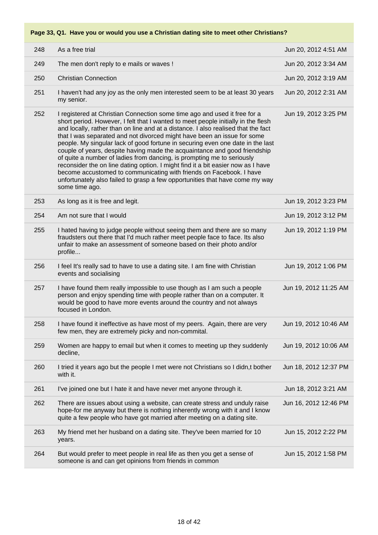| 248 | As a free trial                                                                                                                                                                                                                                                                                                                                                                                                                                                                                                                                                                                                                                                                                                                                                                                                                      | Jun 20, 2012 4:51 AM  |
|-----|--------------------------------------------------------------------------------------------------------------------------------------------------------------------------------------------------------------------------------------------------------------------------------------------------------------------------------------------------------------------------------------------------------------------------------------------------------------------------------------------------------------------------------------------------------------------------------------------------------------------------------------------------------------------------------------------------------------------------------------------------------------------------------------------------------------------------------------|-----------------------|
| 249 | The men don't reply to e mails or waves !                                                                                                                                                                                                                                                                                                                                                                                                                                                                                                                                                                                                                                                                                                                                                                                            | Jun 20, 2012 3:34 AM  |
| 250 | <b>Christian Connection</b>                                                                                                                                                                                                                                                                                                                                                                                                                                                                                                                                                                                                                                                                                                                                                                                                          | Jun 20, 2012 3:19 AM  |
| 251 | I haven't had any joy as the only men interested seem to be at least 30 years<br>my senior.                                                                                                                                                                                                                                                                                                                                                                                                                                                                                                                                                                                                                                                                                                                                          | Jun 20, 2012 2:31 AM  |
| 252 | I registered at Christian Connection some time ago and used it free for a<br>short period. However, I felt that I wanted to meet people initially in the flesh<br>and locally, rather than on line and at a distance. I also realised that the fact<br>that I was separated and not divorced might have been an issue for some<br>people. My singular lack of good fortune in securing even one date in the last<br>couple of years, despite having made the acquaintance and good friendship<br>of quite a number of ladies from dancing, is prompting me to seriously<br>reconsider the on line dating option. I might find it a bit easier now as I have<br>become accustomed to communicating with friends on Facebook. I have<br>unfortunately also failed to grasp a few opportunities that have come my way<br>some time ago. | Jun 19, 2012 3:25 PM  |
| 253 | As long as it is free and legit.                                                                                                                                                                                                                                                                                                                                                                                                                                                                                                                                                                                                                                                                                                                                                                                                     | Jun 19, 2012 3:23 PM  |
| 254 | Am not sure that I would                                                                                                                                                                                                                                                                                                                                                                                                                                                                                                                                                                                                                                                                                                                                                                                                             | Jun 19, 2012 3:12 PM  |
| 255 | I hated having to judge people without seeing them and there are so many<br>fraudsters out there that I'd much rather meet people face to face. Its also<br>unfair to make an assessment of someone based on their photo and/or<br>profile                                                                                                                                                                                                                                                                                                                                                                                                                                                                                                                                                                                           | Jun 19, 2012 1:19 PM  |
| 256 | I feel It's really sad to have to use a dating site. I am fine with Christian<br>events and socialising                                                                                                                                                                                                                                                                                                                                                                                                                                                                                                                                                                                                                                                                                                                              | Jun 19, 2012 1:06 PM  |
| 257 | I have found them really impossible to use though as I am such a people<br>person and enjoy spending time with people rather than on a computer. It<br>would be good to have more events around the country and not always<br>focused in London.                                                                                                                                                                                                                                                                                                                                                                                                                                                                                                                                                                                     | Jun 19, 2012 11:25 AM |
| 258 | I have found it ineffective as have most of my peers. Again, there are very<br>few men, they are extremely picky and non-commital.                                                                                                                                                                                                                                                                                                                                                                                                                                                                                                                                                                                                                                                                                                   | Jun 19, 2012 10:46 AM |
| 259 | Women are happy to email but when it comes to meeting up they suddenly<br>decline,                                                                                                                                                                                                                                                                                                                                                                                                                                                                                                                                                                                                                                                                                                                                                   | Jun 19, 2012 10:06 AM |
| 260 | I tried it years ago but the people I met were not Christians so I didn, t bother<br>with it.                                                                                                                                                                                                                                                                                                                                                                                                                                                                                                                                                                                                                                                                                                                                        | Jun 18, 2012 12:37 PM |
| 261 | I've joined one but I hate it and have never met anyone through it.                                                                                                                                                                                                                                                                                                                                                                                                                                                                                                                                                                                                                                                                                                                                                                  | Jun 18, 2012 3:21 AM  |
| 262 | There are issues about using a website, can create stress and unduly raise<br>hope-for me anyway but there is nothing inherently wrong with it and I know<br>quite a few people who have got married after meeting on a dating site.                                                                                                                                                                                                                                                                                                                                                                                                                                                                                                                                                                                                 | Jun 16, 2012 12:46 PM |
| 263 | My friend met her husband on a dating site. They've been married for 10<br>years.                                                                                                                                                                                                                                                                                                                                                                                                                                                                                                                                                                                                                                                                                                                                                    | Jun 15, 2012 2:22 PM  |
| 264 | But would prefer to meet people in real life as then you get a sense of<br>someone is and can get opinions from friends in common                                                                                                                                                                                                                                                                                                                                                                                                                                                                                                                                                                                                                                                                                                    | Jun 15, 2012 1:58 PM  |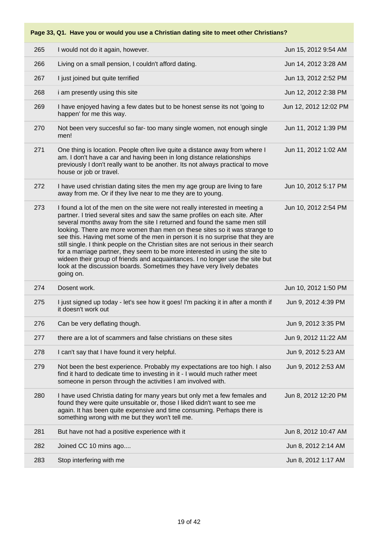| 265 | I would not do it again, however.                                                                                                                                                                                                                                                                                                                                                                                                                                                                                                                                                                                                                                                                                                                        | Jun 15, 2012 9:54 AM  |
|-----|----------------------------------------------------------------------------------------------------------------------------------------------------------------------------------------------------------------------------------------------------------------------------------------------------------------------------------------------------------------------------------------------------------------------------------------------------------------------------------------------------------------------------------------------------------------------------------------------------------------------------------------------------------------------------------------------------------------------------------------------------------|-----------------------|
| 266 | Living on a small pension, I couldn't afford dating.                                                                                                                                                                                                                                                                                                                                                                                                                                                                                                                                                                                                                                                                                                     | Jun 14, 2012 3:28 AM  |
| 267 | I just joined but quite terrified                                                                                                                                                                                                                                                                                                                                                                                                                                                                                                                                                                                                                                                                                                                        | Jun 13, 2012 2:52 PM  |
| 268 | i am presently using this site                                                                                                                                                                                                                                                                                                                                                                                                                                                                                                                                                                                                                                                                                                                           | Jun 12, 2012 2:38 PM  |
| 269 | I have enjoyed having a few dates but to be honest sense its not 'going to<br>happen' for me this way.                                                                                                                                                                                                                                                                                                                                                                                                                                                                                                                                                                                                                                                   | Jun 12, 2012 12:02 PM |
| 270 | Not been very succesful so far- too many single women, not enough single<br>men!                                                                                                                                                                                                                                                                                                                                                                                                                                                                                                                                                                                                                                                                         | Jun 11, 2012 1:39 PM  |
| 271 | One thing is location. People often live quite a distance away from where I<br>am. I don't have a car and having been in long distance relationships<br>previously I don't really want to be another. Its not always practical to move<br>house or job or travel.                                                                                                                                                                                                                                                                                                                                                                                                                                                                                        | Jun 11, 2012 1:02 AM  |
| 272 | I have used christian dating sites the men my age group are living to fare<br>away from me. Or if they live near to me they are to young.                                                                                                                                                                                                                                                                                                                                                                                                                                                                                                                                                                                                                | Jun 10, 2012 5:17 PM  |
| 273 | I found a lot of the men on the site were not really interested in meeting a<br>partner. I tried several sites and saw the same profiles on each site. After<br>several months away from the site I returned and found the same men still<br>looking. There are more women than men on these sites so it was strange to<br>see this. Having met some of the men in person it is no surprise that they are<br>still single. I think people on the Christian sites are not serious in their search<br>for a marriage partner, they seem to be more interested in using the site to<br>wideen their group of friends and acquaintances. I no longer use the site but<br>look at the discussion boards. Sometimes they have very lively debates<br>going on. | Jun 10, 2012 2:54 PM  |
| 274 | Dosent work.                                                                                                                                                                                                                                                                                                                                                                                                                                                                                                                                                                                                                                                                                                                                             | Jun 10, 2012 1:50 PM  |
| 275 | I just signed up today - let's see how it goes! I'm packing it in after a month if<br>it doesn't work out                                                                                                                                                                                                                                                                                                                                                                                                                                                                                                                                                                                                                                                | Jun 9, 2012 4:39 PM   |
| 276 | Can be very deflating though.                                                                                                                                                                                                                                                                                                                                                                                                                                                                                                                                                                                                                                                                                                                            | Jun 9, 2012 3:35 PM   |
| 277 | there are a lot of scammers and false christians on these sites                                                                                                                                                                                                                                                                                                                                                                                                                                                                                                                                                                                                                                                                                          | Jun 9, 2012 11:22 AM  |
| 278 | I can't say that I have found it very helpful.                                                                                                                                                                                                                                                                                                                                                                                                                                                                                                                                                                                                                                                                                                           | Jun 9, 2012 5:23 AM   |
| 279 | Not been the best experience. Probably my expectations are too high. I also<br>find it hard to dedicate time to investing in it - I would much rather meet<br>someone in person through the activities I am involved with.                                                                                                                                                                                                                                                                                                                                                                                                                                                                                                                               | Jun 9, 2012 2:53 AM   |
| 280 | I have used Christia dating for many years but only met a few females and<br>found they were quite unsuitable or, those I liked didn't want to see me<br>again. It has been quite expensive and time consuming. Perhaps there is<br>something wrong with me but they won't tell me.                                                                                                                                                                                                                                                                                                                                                                                                                                                                      | Jun 8, 2012 12:20 PM  |
| 281 | But have not had a positive experience with it                                                                                                                                                                                                                                                                                                                                                                                                                                                                                                                                                                                                                                                                                                           | Jun 8, 2012 10:47 AM  |
| 282 | Joined CC 10 mins ago                                                                                                                                                                                                                                                                                                                                                                                                                                                                                                                                                                                                                                                                                                                                    | Jun 8, 2012 2:14 AM   |
| 283 | Stop interfering with me                                                                                                                                                                                                                                                                                                                                                                                                                                                                                                                                                                                                                                                                                                                                 | Jun 8, 2012 1:17 AM   |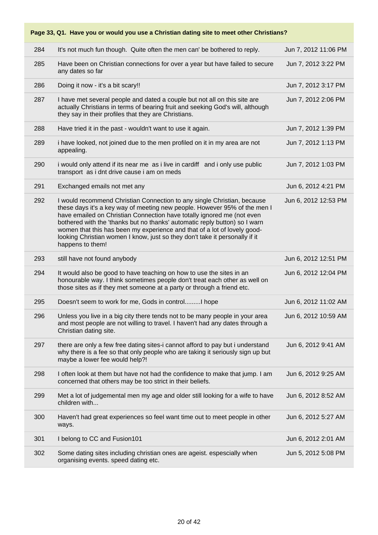| 284 | It's not much fun though. Quite often the men can' be bothered to reply.                                                                                                                                                                                                                                                                                                                                                                                                                    | Jun 7, 2012 11:06 PM |
|-----|---------------------------------------------------------------------------------------------------------------------------------------------------------------------------------------------------------------------------------------------------------------------------------------------------------------------------------------------------------------------------------------------------------------------------------------------------------------------------------------------|----------------------|
| 285 | Have been on Christian connections for over a year but have failed to secure<br>any dates so far                                                                                                                                                                                                                                                                                                                                                                                            | Jun 7, 2012 3:22 PM  |
| 286 | Doing it now - it's a bit scary!!                                                                                                                                                                                                                                                                                                                                                                                                                                                           | Jun 7, 2012 3:17 PM  |
| 287 | I have met several people and dated a couple but not all on this site are<br>actually Christians in terms of bearing fruit and seeking God's will, although<br>they say in their profiles that they are Christians.                                                                                                                                                                                                                                                                         | Jun 7, 2012 2:06 PM  |
| 288 | Have tried it in the past - wouldn't want to use it again.                                                                                                                                                                                                                                                                                                                                                                                                                                  | Jun 7, 2012 1:39 PM  |
| 289 | i have looked, not joined due to the men profiled on it in my area are not<br>appealing.                                                                                                                                                                                                                                                                                                                                                                                                    | Jun 7, 2012 1:13 PM  |
| 290 | i would only attend if its near me as i live in cardiff and i only use public<br>transport as i dnt drive cause i am on meds                                                                                                                                                                                                                                                                                                                                                                | Jun 7, 2012 1:03 PM  |
| 291 | Exchanged emails not met any                                                                                                                                                                                                                                                                                                                                                                                                                                                                | Jun 6, 2012 4:21 PM  |
| 292 | I would recommend Christian Connection to any single Christian, because<br>these days it's a key way of meeting new people. However 95% of the men I<br>have emailed on Christian Connection have totally ignored me (not even<br>bothered with the 'thanks but no thanks' automatic reply button) so I warn<br>women that this has been my experience and that of a lot of lovely good-<br>looking Christian women I know, just so they don't take it personally if it<br>happens to them! | Jun 6, 2012 12:53 PM |
| 293 | still have not found anybody                                                                                                                                                                                                                                                                                                                                                                                                                                                                | Jun 6, 2012 12:51 PM |
|     |                                                                                                                                                                                                                                                                                                                                                                                                                                                                                             |                      |
| 294 | It would also be good to have teaching on how to use the sites in an<br>honourable way. I think sometimes people don't treat each other as well on<br>those sites as if they met someone at a party or through a friend etc.                                                                                                                                                                                                                                                                | Jun 6, 2012 12:04 PM |
| 295 | Doesn't seem to work for me, Gods in control I hope                                                                                                                                                                                                                                                                                                                                                                                                                                         | Jun 6, 2012 11:02 AM |
| 296 | Unless you live in a big city there tends not to be many people in your area<br>and most people are not willing to travel. I haven't had any dates through a<br>Christian dating site.                                                                                                                                                                                                                                                                                                      | Jun 6, 2012 10:59 AM |
| 297 | there are only a few free dating sites-i cannot afford to pay but i understand<br>why there is a fee so that only people who are taking it seriously sign up but<br>maybe a lower fee would help?!                                                                                                                                                                                                                                                                                          | Jun 6, 2012 9:41 AM  |
| 298 | I often look at them but have not had the confidence to make that jump. I am<br>concerned that others may be too strict in their beliefs.                                                                                                                                                                                                                                                                                                                                                   | Jun 6, 2012 9:25 AM  |
| 299 | Met a lot of judgemental men my age and older still looking for a wife to have<br>children with                                                                                                                                                                                                                                                                                                                                                                                             | Jun 6, 2012 8:52 AM  |
| 300 | Haven't had great experiences so feel want time out to meet people in other<br>ways.                                                                                                                                                                                                                                                                                                                                                                                                        | Jun 6, 2012 5:27 AM  |
| 301 | I belong to CC and Fusion101                                                                                                                                                                                                                                                                                                                                                                                                                                                                | Jun 6, 2012 2:01 AM  |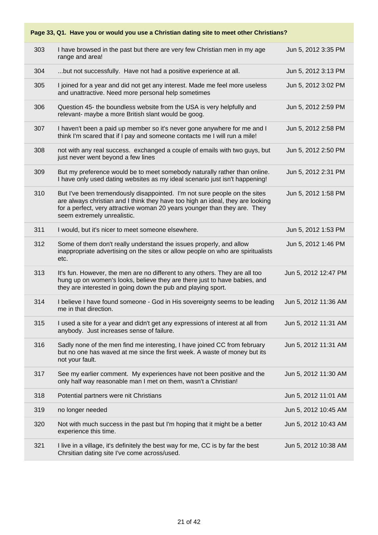| 303 | I have browsed in the past but there are very few Christian men in my age<br>range and area!                                                                                                                                                                            | Jun 5, 2012 3:35 PM  |
|-----|-------------------------------------------------------------------------------------------------------------------------------------------------------------------------------------------------------------------------------------------------------------------------|----------------------|
| 304 | but not successfully. Have not had a positive experience at all.                                                                                                                                                                                                        | Jun 5, 2012 3:13 PM  |
| 305 | I joined for a year and did not get any interest. Made me feel more useless<br>and unattractive. Need more personal help sometimes                                                                                                                                      | Jun 5, 2012 3:02 PM  |
| 306 | Question 45- the boundless website from the USA is very helpfully and<br>relevant- maybe a more British slant would be goog.                                                                                                                                            | Jun 5, 2012 2:59 PM  |
| 307 | I haven't been a paid up member so it's never gone anywhere for me and I<br>think I'm scared that if I pay and someone contacts me I will run a mile!                                                                                                                   | Jun 5, 2012 2:58 PM  |
| 308 | not with any real success. exchanged a couple of emails with two guys, but<br>just never went beyond a few lines                                                                                                                                                        | Jun 5, 2012 2:50 PM  |
| 309 | But my preference would be to meet somebody naturally rather than online.<br>I have only used dating websites as my ideal scenario just isn't happening!                                                                                                                | Jun 5, 2012 2:31 PM  |
| 310 | But I've been tremendously disappointed. I'm not sure people on the sites<br>are always christian and I think they have too high an ideal, they are looking<br>for a perfect, very attractive woman 20 years younger than they are. They<br>seem extremely unrealistic. | Jun 5, 2012 1:58 PM  |
| 311 | I would, but it's nicer to meet someone elsewhere.                                                                                                                                                                                                                      | Jun 5, 2012 1:53 PM  |
| 312 | Some of them don't really understand the issues properly, and allow<br>inappropriate advertising on the sites or allow people on who are spiritualists<br>etc.                                                                                                          | Jun 5, 2012 1:46 PM  |
| 313 | It's fun. However, the men are no different to any others. They are all too<br>hung up on women's looks, believe they are there just to have babies, and<br>they are interested in going down the pub and playing sport.                                                | Jun 5, 2012 12:47 PM |
| 314 | I believe I have found someone - God in His sovereignty seems to be leading<br>me in that direction.                                                                                                                                                                    | Jun 5, 2012 11:36 AM |
| 315 | I used a site for a year and didn't get any expressions of interest at all from<br>anybody. Just increases sense of failure.                                                                                                                                            | Jun 5, 2012 11:31 AM |
| 316 | Sadly none of the men find me interesting, I have joined CC from february<br>but no one has waved at me since the first week. A waste of money but its<br>not your fault.                                                                                               | Jun 5, 2012 11:31 AM |
| 317 | See my earlier comment. My experiences have not been positive and the<br>only half way reasonable man I met on them, wasn't a Christian!                                                                                                                                | Jun 5, 2012 11:30 AM |
| 318 | Potential partners were nit Christians                                                                                                                                                                                                                                  | Jun 5, 2012 11:01 AM |
| 319 | no longer needed                                                                                                                                                                                                                                                        | Jun 5, 2012 10:45 AM |
| 320 | Not with much success in the past but I'm hoping that it might be a better<br>experience this time.                                                                                                                                                                     | Jun 5, 2012 10:43 AM |
| 321 | I live in a village, it's definitely the best way for me, CC is by far the best<br>Chrsitian dating site I've come across/used.                                                                                                                                         | Jun 5, 2012 10:38 AM |
|     |                                                                                                                                                                                                                                                                         |                      |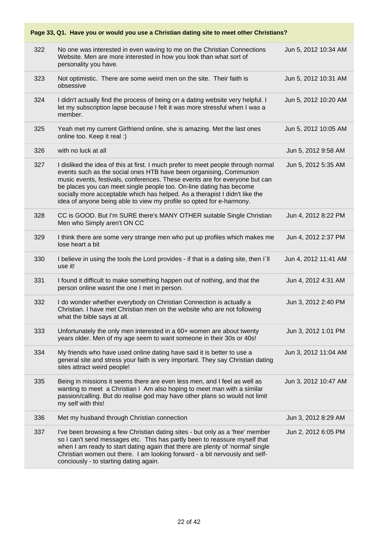|     | Page 33, Q1. Have you or would you use a Christian dating site to meet other Christians?                                                                                                                                                                                                                                                                                                                                                                             |                      |
|-----|----------------------------------------------------------------------------------------------------------------------------------------------------------------------------------------------------------------------------------------------------------------------------------------------------------------------------------------------------------------------------------------------------------------------------------------------------------------------|----------------------|
| 322 | No one was interested in even waving to me on the Christian Connections<br>Website. Men are more interested in how you look than what sort of<br>personality you have.                                                                                                                                                                                                                                                                                               | Jun 5, 2012 10:34 AM |
| 323 | Not optimistic. There are some weird men on the site. Their faith is<br>obsessive                                                                                                                                                                                                                                                                                                                                                                                    | Jun 5, 2012 10:31 AM |
| 324 | I didn't actually find the process of being on a dating website very helpful. I<br>let my subscription lapse because I felt it was more stressful when I was a<br>member.                                                                                                                                                                                                                                                                                            | Jun 5, 2012 10:20 AM |
| 325 | Yeah met my current Girlfriend online, she is amazing. Met the last ones<br>online too. Keep it real :)                                                                                                                                                                                                                                                                                                                                                              | Jun 5, 2012 10:05 AM |
| 326 | with no luck at all                                                                                                                                                                                                                                                                                                                                                                                                                                                  | Jun 5, 2012 9:58 AM  |
| 327 | I disliked the idea of this at first. I much prefer to meet people through normal<br>events such as the social ones HTB have been organising, Communion<br>music events, festivals, conferences. These events are for everyone but can<br>be places you can meet single people too. On-line dating has become<br>socially more acceptable which has helped. As a therapist I didn't like the<br>idea of anyone being able to view my profile so opted for e-harmony. | Jun 5, 2012 5:35 AM  |
| 328 | CC is GOOD. But I'm SURE there's MANY OTHER suitable Single Christian<br>Men who Simply aren't ON CC                                                                                                                                                                                                                                                                                                                                                                 | Jun 4, 2012 8:22 PM  |
| 329 | I think there are some very strange men who put up profiles which makes me<br>lose heart a bit                                                                                                                                                                                                                                                                                                                                                                       | Jun 4, 2012 2:37 PM  |
| 330 | I believe in using the tools the Lord provides - if that is a dating site, then I'll<br>use it!                                                                                                                                                                                                                                                                                                                                                                      | Jun 4, 2012 11:41 AM |
| 331 | I found it difficult to make something happen out of nothing, and that the<br>person online wasnt the one I met in person.                                                                                                                                                                                                                                                                                                                                           | Jun 4, 2012 4:31 AM  |
| 332 | I do wonder whether everybody on Christian Connection is actually a<br>Christian. I have met Christian men on the website who are not following<br>what the bible says at all.                                                                                                                                                                                                                                                                                       | Jun 3, 2012 2:40 PM  |
| 333 | Unfortunately the only men interested in a 60+ women are about twenty<br>years older. Men of my age seem to want someone in their 30s or 40s!                                                                                                                                                                                                                                                                                                                        | Jun 3, 2012 1:01 PM  |
| 334 | My friends who have used online dating have said it is better to use a<br>general site and stress your faith is very important. They say Christian dating<br>sites attract weird people!                                                                                                                                                                                                                                                                             | Jun 3, 2012 11:04 AM |
| 335 | Being in missions it seems there are even less men, and I feel as well as<br>wanting to meet a Christian I Am also hoping to meet man with a similar<br>passion/calling. But do realise god may have other plans so would not limit<br>my self with this!                                                                                                                                                                                                            | Jun 3, 2012 10:47 AM |
| 336 | Met my husband through Christian connection                                                                                                                                                                                                                                                                                                                                                                                                                          | Jun 3, 2012 8:29 AM  |
| 337 | I've been browsing a few Christian dating sites - but only as a 'free' member<br>so I can't send messages etc. This has partly been to reassure myself that<br>when I am ready to start dating again that there are plenty of 'normal' single<br>Christian women out there. I am looking forward - a bit nervously and self-<br>conciously - to starting dating again.                                                                                               | Jun 2, 2012 6:05 PM  |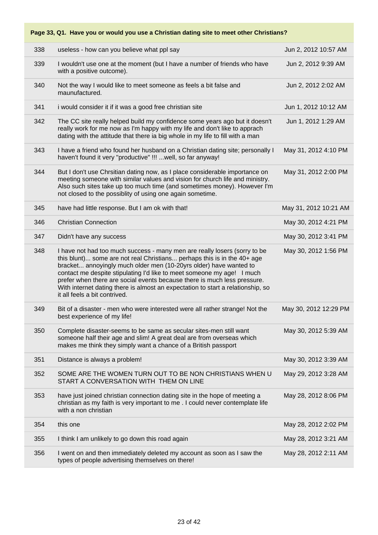| 338 | useless - how can you believe what ppl say                                                                                                                                                                                                                                                                                                                                                                                                                                                          | Jun 2, 2012 10:57 AM  |
|-----|-----------------------------------------------------------------------------------------------------------------------------------------------------------------------------------------------------------------------------------------------------------------------------------------------------------------------------------------------------------------------------------------------------------------------------------------------------------------------------------------------------|-----------------------|
| 339 | I wouldn't use one at the moment (but I have a number of friends who have<br>with a positive outcome).                                                                                                                                                                                                                                                                                                                                                                                              | Jun 2, 2012 9:39 AM   |
| 340 | Not the way I would like to meet someone as feels a bit false and<br>maunufactured.                                                                                                                                                                                                                                                                                                                                                                                                                 | Jun 2, 2012 2:02 AM   |
| 341 | i would consider it if it was a good free christian site                                                                                                                                                                                                                                                                                                                                                                                                                                            | Jun 1, 2012 10:12 AM  |
| 342 | The CC site really helped build my confidence some years ago but it doesn't<br>really work for me now as I'm happy with my life and don't like to apprach<br>dating with the attitude that there ia big whole in my life to fill with a man                                                                                                                                                                                                                                                         | Jun 1, 2012 1:29 AM   |
| 343 | I have a friend who found her husband on a Christian dating site; personally I<br>haven't found it very "productive" !!!  well, so far anyway!                                                                                                                                                                                                                                                                                                                                                      | May 31, 2012 4:10 PM  |
| 344 | But I don't use Chrsitian dating now, as I place considerable importance on<br>meeting someone with similar values and vision for church life and ministry.<br>Also such sites take up too much time (and sometimes money). However I'm<br>not closed to the possiblity of using one again sometime.                                                                                                                                                                                                | May 31, 2012 2:00 PM  |
| 345 | have had little response. But I am ok with that!                                                                                                                                                                                                                                                                                                                                                                                                                                                    | May 31, 2012 10:21 AM |
| 346 | <b>Christian Connection</b>                                                                                                                                                                                                                                                                                                                                                                                                                                                                         | May 30, 2012 4:21 PM  |
| 347 | Didn't have any success                                                                                                                                                                                                                                                                                                                                                                                                                                                                             | May 30, 2012 3:41 PM  |
| 348 | I have not had too much success - many men are really losers (sorry to be<br>this blunt) some are not real Christians perhaps this is in the 40+ age<br>bracket annoyingly much older men (10-20yrs older) have wanted to<br>contact me despite stipulating I'd like to meet someone my age! I much<br>prefer when there are social events because there is much less pressure.<br>With internet dating there is almost an expectation to start a relationship, so<br>it all feels a bit contrived. | May 30, 2012 1:56 PM  |
| 349 | Bit of a disaster - men who were interested were all rather strange! Not the<br>best experience of my life!                                                                                                                                                                                                                                                                                                                                                                                         | May 30, 2012 12:29 PM |
| 350 | Complete disaster-seems to be same as secular sites-men still want<br>someone half their age and slim! A great deal are from overseas which<br>makes me think they simply want a chance of a British passport                                                                                                                                                                                                                                                                                       | May 30, 2012 5:39 AM  |
| 351 | Distance is always a problem!                                                                                                                                                                                                                                                                                                                                                                                                                                                                       | May 30, 2012 3:39 AM  |
| 352 | SOME ARE THE WOMEN TURN OUT TO BE NON CHRISTIANS WHEN U<br>START A CONVERSATION WITH THEM ON LINE                                                                                                                                                                                                                                                                                                                                                                                                   | May 29, 2012 3:28 AM  |
| 353 | have just joined christian connection dating site in the hope of meeting a<br>christian as my faith is very important to me. I could never contemplate life<br>with a non christian                                                                                                                                                                                                                                                                                                                 | May 28, 2012 8:06 PM  |
| 354 | this one                                                                                                                                                                                                                                                                                                                                                                                                                                                                                            | May 28, 2012 2:02 PM  |
| 355 | I think I am unlikely to go down this road again                                                                                                                                                                                                                                                                                                                                                                                                                                                    | May 28, 2012 3:21 AM  |
| 356 | I went on and then immediately deleted my account as soon as I saw the<br>types of people advertising themselves on there!                                                                                                                                                                                                                                                                                                                                                                          | May 28, 2012 2:11 AM  |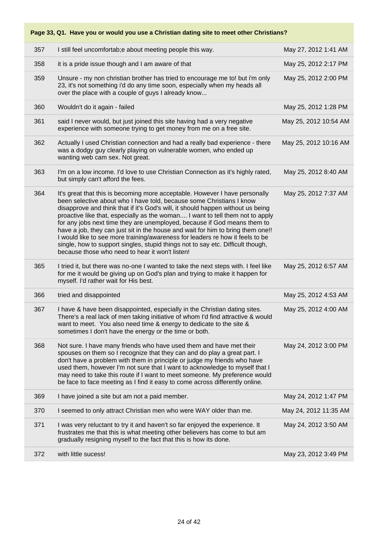| 357 | I still feel uncomfortab; e about meeting people this way.                                                                                                                                                                                                                                                                                                                                                                                                                                                                                                                                                                                                                                                    | May 27, 2012 1:41 AM  |
|-----|---------------------------------------------------------------------------------------------------------------------------------------------------------------------------------------------------------------------------------------------------------------------------------------------------------------------------------------------------------------------------------------------------------------------------------------------------------------------------------------------------------------------------------------------------------------------------------------------------------------------------------------------------------------------------------------------------------------|-----------------------|
| 358 | it is a pride issue though and I am aware of that                                                                                                                                                                                                                                                                                                                                                                                                                                                                                                                                                                                                                                                             | May 25, 2012 2:17 PM  |
| 359 | Unsure - my non christian brother has tried to encourage me to! but i'm only<br>23, it's not something i'd do any time soon, especially when my heads all<br>over the place with a couple of guys I already know                                                                                                                                                                                                                                                                                                                                                                                                                                                                                              | May 25, 2012 2:00 PM  |
| 360 | Wouldn't do it again - failed                                                                                                                                                                                                                                                                                                                                                                                                                                                                                                                                                                                                                                                                                 | May 25, 2012 1:28 PM  |
| 361 | said I never would, but just joined this site having had a very negative<br>experience with someone trying to get money from me on a free site.                                                                                                                                                                                                                                                                                                                                                                                                                                                                                                                                                               | May 25, 2012 10:54 AM |
| 362 | Actually I used Christian connection and had a really bad experience - there<br>was a dodgy guy clearly playing on vulnerable women, who ended up<br>wanting web cam sex. Not great.                                                                                                                                                                                                                                                                                                                                                                                                                                                                                                                          | May 25, 2012 10:16 AM |
| 363 | I'm on a low income. I'd love to use Christian Connection as it's highly rated,<br>but simply can't afford the fees.                                                                                                                                                                                                                                                                                                                                                                                                                                                                                                                                                                                          | May 25, 2012 8:40 AM  |
| 364 | It's great that this is becoming more acceptable. However I have personally<br>been selective about who I have told, because some Christians I know<br>disapprove and think that if it's God's will, it should happen without us being<br>proactive like that, especially as the woman I want to tell them not to apply<br>for any jobs next time they are unemployed, because if God means them to<br>have a job, they can just sit in the house and wait for him to bring them one!!<br>I would like to see more training/awareness for leaders re how it feels to be<br>single, how to support singles, stupid things not to say etc. Difficult though,<br>because those who need to hear it won't listen! | May 25, 2012 7:37 AM  |
| 365 | I tried it, but there was no-one I wanted to take the next steps with. I feel like<br>for me it would be giving up on God's plan and trying to make it happen for<br>myself. I'd rather wait for His best.                                                                                                                                                                                                                                                                                                                                                                                                                                                                                                    | May 25, 2012 6:57 AM  |
| 366 | tried and disappointed                                                                                                                                                                                                                                                                                                                                                                                                                                                                                                                                                                                                                                                                                        | May 25, 2012 4:53 AM  |
| 367 | I have & have been disappointed, especially in the Christian dating sites.<br>There's a real lack of men taking initiative of whom I'd find attractive & would<br>want to meet. You also need time & energy to dedicate to the site &<br>sometimes I don't have the energy or the time or both.                                                                                                                                                                                                                                                                                                                                                                                                               | May 25, 2012 4:00 AM  |
| 368 | Not sure. I have many friends who have used them and have met their<br>spouses on them so I recognize that they can and do play a great part. I<br>don't have a problem with them in principle or judge my friends who have<br>used them, however I'm not sure that I want to acknowledge to myself that I<br>may need to take this route if I want to meet someone. My preference would<br>be face to face meeting as I find it easy to come across differently online.                                                                                                                                                                                                                                      | May 24, 2012 3:00 PM  |
| 369 | I have joined a site but am not a paid member.                                                                                                                                                                                                                                                                                                                                                                                                                                                                                                                                                                                                                                                                | May 24, 2012 1:47 PM  |
| 370 | I seemed to only attract Christian men who were WAY older than me.                                                                                                                                                                                                                                                                                                                                                                                                                                                                                                                                                                                                                                            | May 24, 2012 11:35 AM |
| 371 | I was very reluctant to try it and haven't so far enjoyed the experience. It<br>frustrates me that this is what meeting other believers has come to but am<br>gradually resigning myself to the fact that this is how its done.                                                                                                                                                                                                                                                                                                                                                                                                                                                                               | May 24, 2012 3:50 AM  |
| 372 | with little sucess!                                                                                                                                                                                                                                                                                                                                                                                                                                                                                                                                                                                                                                                                                           | May 23, 2012 3:49 PM  |
|     |                                                                                                                                                                                                                                                                                                                                                                                                                                                                                                                                                                                                                                                                                                               |                       |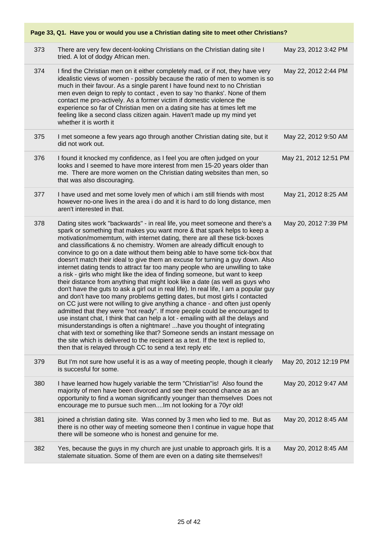|     | Page 33, Q1. Have you or would you use a Christian dating site to meet other Christians?                                                                                                                                                                                                                                                                                                                                                                                                                                                                                                                                                                                                                                                                                                                                                                                                                                                                                                                                                                                                                                                                                                                                                                                                                                                                                                                                                                                   |                       |
|-----|----------------------------------------------------------------------------------------------------------------------------------------------------------------------------------------------------------------------------------------------------------------------------------------------------------------------------------------------------------------------------------------------------------------------------------------------------------------------------------------------------------------------------------------------------------------------------------------------------------------------------------------------------------------------------------------------------------------------------------------------------------------------------------------------------------------------------------------------------------------------------------------------------------------------------------------------------------------------------------------------------------------------------------------------------------------------------------------------------------------------------------------------------------------------------------------------------------------------------------------------------------------------------------------------------------------------------------------------------------------------------------------------------------------------------------------------------------------------------|-----------------------|
| 373 | There are very few decent-looking Christians on the Christian dating site I<br>tried. A lot of dodgy African men.                                                                                                                                                                                                                                                                                                                                                                                                                                                                                                                                                                                                                                                                                                                                                                                                                                                                                                                                                                                                                                                                                                                                                                                                                                                                                                                                                          | May 23, 2012 3:42 PM  |
| 374 | I find the Christian men on it either completely mad, or if not, they have very<br>idealistic views of women - possibly because the ratio of men to women is so<br>much in their favour. As a single parent I have found next to no Christian<br>men even deign to reply to contact, even to say 'no thanks'. None of them<br>contact me pro-actively. As a former victim if domestic violence the<br>experience so far of Christian men on a dating site has at times left me<br>feeling like a second class citizen again. Haven't made up my mind yet<br>whether it is worth it                                                                                                                                                                                                                                                                                                                                                                                                                                                                                                                                                                                                                                                                                                                                                                                                                                                                                         | May 22, 2012 2:44 PM  |
| 375 | I met someone a few years ago through another Christian dating site, but it<br>did not work out.                                                                                                                                                                                                                                                                                                                                                                                                                                                                                                                                                                                                                                                                                                                                                                                                                                                                                                                                                                                                                                                                                                                                                                                                                                                                                                                                                                           | May 22, 2012 9:50 AM  |
| 376 | I found it knocked my confidence, as I feel you are often judged on your<br>looks and I seemed to have more interest from men 15-20 years older than<br>me. There are more women on the Christian dating websites than men, so<br>that was also discouraging.                                                                                                                                                                                                                                                                                                                                                                                                                                                                                                                                                                                                                                                                                                                                                                                                                                                                                                                                                                                                                                                                                                                                                                                                              | May 21, 2012 12:51 PM |
| 377 | I have used and met some lovely men of which i am still friends with most<br>however no-one lives in the area i do and it is hard to do long distance, men<br>aren't interested in that.                                                                                                                                                                                                                                                                                                                                                                                                                                                                                                                                                                                                                                                                                                                                                                                                                                                                                                                                                                                                                                                                                                                                                                                                                                                                                   | May 21, 2012 8:25 AM  |
| 378 | Dating sites work "backwards" - in real life, you meet someone and there's a<br>spark or something that makes you want more & that spark helps to keep a<br>motivation/momemtum, with internet dating, there are all these tick-boxes<br>and classifications & no chemistry. Women are already difficult enough to<br>convince to go on a date without them being able to have some tick-box that<br>doesn't match their ideal to give them an excuse for turning a guy down. Also<br>internet dating tends to attract far too many people who are unwilling to take<br>a risk - girls who might like the idea of finding someone, but want to keep<br>their distance from anything that might look like a date (as well as guys who<br>don't have the guts to ask a girl out in real life). In real life, I am a popular guy<br>and don't have too many problems getting dates, but most girls I contacted<br>on CC just were not willing to give anything a chance - and often just openly<br>admitted that they were "not ready". If more people could be encouraged to<br>use instant chat, I think that can help a lot - emailing with all the delays and<br>misunderstandings is often a nightmare!  have you thought of integrating<br>chat with text or something like that? Someone sends an instant message on<br>the site which is delivered to the recipient as a text. If the text is replied to,<br>then that is relayed through CC to send a text reply etc | May 20, 2012 7:39 PM  |
| 379 | But I'm not sure how useful it is as a way of meeting people, though it clearly<br>is succesful for some.                                                                                                                                                                                                                                                                                                                                                                                                                                                                                                                                                                                                                                                                                                                                                                                                                                                                                                                                                                                                                                                                                                                                                                                                                                                                                                                                                                  | May 20, 2012 12:19 PM |
| 380 | I have learned how hugely variable the term "Christian" is! Also found the<br>majority of men have been divorced and see their second chance as an<br>opportunity to find a woman significantly younger than themselves Does not<br>encourage me to pursue such menIm not looking for a 70yr old!                                                                                                                                                                                                                                                                                                                                                                                                                                                                                                                                                                                                                                                                                                                                                                                                                                                                                                                                                                                                                                                                                                                                                                          | May 20, 2012 9:47 AM  |
| 381 | joined a christian dating site. Was conned by 3 men who lied to me. But as<br>there is no other way of meeting someone then I continue in vague hope that<br>there will be someone who is honest and genuine for me.                                                                                                                                                                                                                                                                                                                                                                                                                                                                                                                                                                                                                                                                                                                                                                                                                                                                                                                                                                                                                                                                                                                                                                                                                                                       | May 20, 2012 8:45 AM  |
| 382 | Yes, because the guys in my church are just unable to approach girls. It is a<br>stalemate situation. Some of them are even on a dating site themselves!!                                                                                                                                                                                                                                                                                                                                                                                                                                                                                                                                                                                                                                                                                                                                                                                                                                                                                                                                                                                                                                                                                                                                                                                                                                                                                                                  | May 20, 2012 8:45 AM  |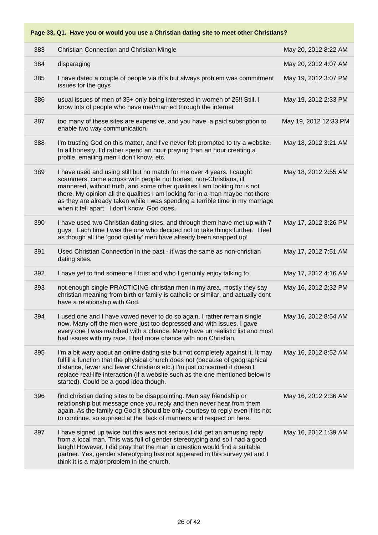| 383 | Christian Connection and Christian Mingle                                                                                                                                                                                                                                                                                                                                                                                                 | May 20, 2012 8:22 AM  |
|-----|-------------------------------------------------------------------------------------------------------------------------------------------------------------------------------------------------------------------------------------------------------------------------------------------------------------------------------------------------------------------------------------------------------------------------------------------|-----------------------|
| 384 | disparaging                                                                                                                                                                                                                                                                                                                                                                                                                               | May 20, 2012 4:07 AM  |
| 385 | I have dated a couple of people via this but always problem was commitment<br>issues for the guys                                                                                                                                                                                                                                                                                                                                         | May 19, 2012 3:07 PM  |
| 386 | usual issues of men of 35+ only being interested in women of 25!! Still, I<br>know lots of people who have met/married through the internet                                                                                                                                                                                                                                                                                               | May 19, 2012 2:33 PM  |
| 387 | too many of these sites are expensive, and you have a paid subsription to<br>enable two way communication.                                                                                                                                                                                                                                                                                                                                | May 19, 2012 12:33 PM |
| 388 | I'm trusting God on this matter, and I've never felt prompted to try a website.<br>In all honesty, I'd rather spend an hour praying than an hour creating a<br>profile, emailing men I don't know, etc.                                                                                                                                                                                                                                   | May 18, 2012 3:21 AM  |
| 389 | I have used and using still but no match for me over 4 years. I caught<br>scammers, came across with people not honest, non-Christians, ill<br>mannered, without truth, and some other qualities I am looking for is not<br>there. My opinion all the qualities I am looking for in a man maybe not there<br>as they are already taken while I was spending a terrible time in my marriage<br>when it fell apart. I don't know, God does. | May 18, 2012 2:55 AM  |
| 390 | I have used two Christian dating sites, and through them have met up with 7<br>guys. Each time I was the one who decided not to take things further. I feel<br>as though all the 'good quality' men have already been snapped up!                                                                                                                                                                                                         | May 17, 2012 3:26 PM  |
| 391 | Used Christian Connection in the past - it was the same as non-christian<br>dating sites.                                                                                                                                                                                                                                                                                                                                                 | May 17, 2012 7:51 AM  |
| 392 | I have yet to find someone I trust and who I genuinly enjoy talking to                                                                                                                                                                                                                                                                                                                                                                    | May 17, 2012 4:16 AM  |
| 393 | not enough single PRACTICING christian men in my area, mostly they say<br>christian meaning from birth or family is catholic or similar, and actually dont<br>have a relationship with God.                                                                                                                                                                                                                                               | May 16, 2012 2:32 PM  |
| 394 | I used one and I have vowed never to do so again. I rather remain single<br>now. Many off the men were just too depressed and with issues. I gave<br>every one I was matched with a chance. Many have un realistic list and most<br>had issues with my race. I had more chance with non Christian.                                                                                                                                        | May 16, 2012 8:54 AM  |
| 395 | I'm a bit wary about an online dating site but not completely against it. It may<br>fulfill a function that the physical church does not (because of geographical<br>distance, fewer and fewer Christians etc.) I'm just concerned it doesn't<br>replace real-life interaction (if a website such as the one mentioned below is<br>started). Could be a good idea though.                                                                 | May 16, 2012 8:52 AM  |
| 396 | find christian dating sites to be disappointing. Men say friendship or<br>relationship but message once you reply and then never hear from them<br>again. As the family og God it should be only courtesy to reply even if its not<br>to continue. so suprised at the lack of manners and respect on here.                                                                                                                                | May 16, 2012 2:36 AM  |
| 397 | I have signed up twice but this was not serious.I did get an amusing reply<br>from a local man. This was full of gender stereotyping and so I had a good<br>laugh! However, I did pray that the man in question would find a suitable<br>partner. Yes, gender stereotyping has not appeared in this survey yet and I<br>think it is a major problem in the church.                                                                        | May 16, 2012 1:39 AM  |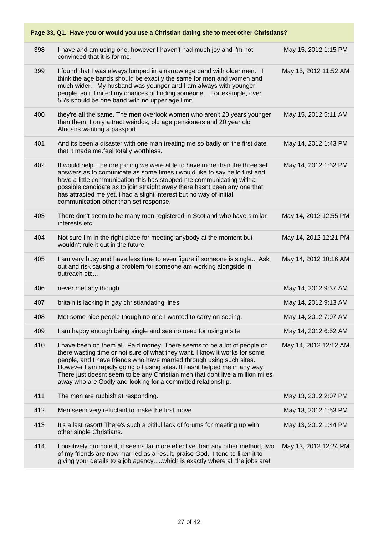|     | Page 33, Q1. Have you or would you use a Christian dating site to meet other Christians?                                                                                                                                                                                                                                                                                                                                                                        |                       |  |
|-----|-----------------------------------------------------------------------------------------------------------------------------------------------------------------------------------------------------------------------------------------------------------------------------------------------------------------------------------------------------------------------------------------------------------------------------------------------------------------|-----------------------|--|
| 398 | I have and am using one, however I haven't had much joy and I'm not<br>convinced that it is for me.                                                                                                                                                                                                                                                                                                                                                             | May 15, 2012 1:15 PM  |  |
| 399 | I found that I was always lumped in a narrow age band with older men. I<br>think the age bands should be exactly the same for men and women and<br>much wider. My husband was younger and I am always with younger<br>people, so it limited my chances of finding someone. For example, over<br>55's should be one band with no upper age limit.                                                                                                                | May 15, 2012 11:52 AM |  |
| 400 | they're all the same. The men overlook women who aren't 20 years younger<br>than them. I only attract weirdos, old age pensioners and 20 year old<br>Africans wanting a passport                                                                                                                                                                                                                                                                                | May 15, 2012 5:11 AM  |  |
| 401 | And its been a disaster with one man treating me so badly on the first date<br>that it made me.feel totally worthless.                                                                                                                                                                                                                                                                                                                                          | May 14, 2012 1:43 PM  |  |
| 402 | It would help i fbefore joining we were able to have more than the three set<br>answers as to comunicate as some times i would like to say hello first and<br>have a little communication this has stopped me communicating with a<br>possible candidate as to join straight away there hasnt been any one that<br>has attracted me yet. i had a slight interest but no way of initial<br>communication other than set response.                                | May 14, 2012 1:32 PM  |  |
| 403 | There don't seem to be many men registered in Scotland who have similar<br>interests etc                                                                                                                                                                                                                                                                                                                                                                        | May 14, 2012 12:55 PM |  |
| 404 | Not sure I'm in the right place for meeting anybody at the moment but<br>wouldn't rule it out in the future                                                                                                                                                                                                                                                                                                                                                     | May 14, 2012 12:21 PM |  |
| 405 | I am very busy and have less time to even figure if someone is single Ask<br>out and risk causing a problem for someone am working alongside in<br>outreach etc                                                                                                                                                                                                                                                                                                 | May 14, 2012 10:16 AM |  |
| 406 | never met any though                                                                                                                                                                                                                                                                                                                                                                                                                                            | May 14, 2012 9:37 AM  |  |
| 407 | britain is lacking in gay christiandating lines                                                                                                                                                                                                                                                                                                                                                                                                                 | May 14, 2012 9:13 AM  |  |
| 408 | Met some nice people though no one I wanted to carry on seeing.                                                                                                                                                                                                                                                                                                                                                                                                 | May 14, 2012 7:07 AM  |  |
| 409 | I am happy enough being single and see no need for using a site                                                                                                                                                                                                                                                                                                                                                                                                 | May 14, 2012 6:52 AM  |  |
| 410 | I have been on them all. Paid money. There seems to be a lot of people on<br>there wasting time or not sure of what they want. I know it works for some<br>people, and I have friends who have married through using such sites.<br>However I am rapidly going off using sites. It hasnt helped me in any way.<br>There just doesnt seem to be any Christian men that dont live a million miles<br>away who are Godly and looking for a committed relationship. | May 14, 2012 12:12 AM |  |
| 411 | The men are rubbish at responding.                                                                                                                                                                                                                                                                                                                                                                                                                              | May 13, 2012 2:07 PM  |  |
| 412 | Men seem very reluctant to make the first move                                                                                                                                                                                                                                                                                                                                                                                                                  | May 13, 2012 1:53 PM  |  |
| 413 | It's a last resort! There's such a pitiful lack of forums for meeting up with<br>other single Christians.                                                                                                                                                                                                                                                                                                                                                       | May 13, 2012 1:44 PM  |  |
| 414 | I positively promote it, it seems far more effective than any other method, two<br>of my friends are now married as a result, praise God. I tend to liken it to<br>giving your details to a job agencywhich is exactly where all the jobs are!                                                                                                                                                                                                                  | May 13, 2012 12:24 PM |  |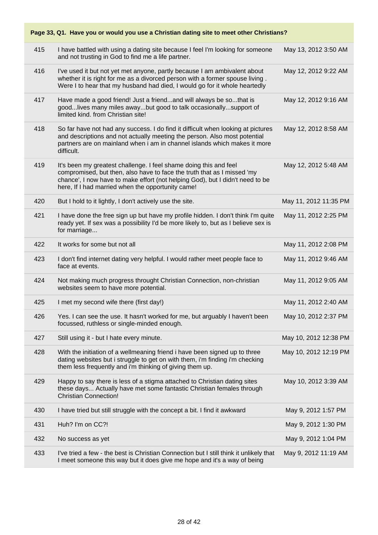| Page 33, Q1. Have you or would you use a Christian dating site to meet other Christians? |                                                                                                                                                                                                                                                                                    |                       |  |
|------------------------------------------------------------------------------------------|------------------------------------------------------------------------------------------------------------------------------------------------------------------------------------------------------------------------------------------------------------------------------------|-----------------------|--|
| 415                                                                                      | I have battled with using a dating site because I feel I'm looking for someone<br>and not trusting in God to find me a life partner.                                                                                                                                               | May 13, 2012 3:50 AM  |  |
| 416                                                                                      | I've used it but not yet met anyone, partly because I am ambivalent about<br>whether it is right for me as a divorced person with a former spouse living.<br>Were I to hear that my husband had died, I would go for it whole heartedly                                            | May 12, 2012 9:22 AM  |  |
| 417                                                                                      | Have made a good friend! Just a friendand will always be sothat is<br>goodlives many miles awaybut good to talk occasionallysupport of<br>limited kind, from Christian site!                                                                                                       | May 12, 2012 9:16 AM  |  |
| 418                                                                                      | So far have not had any success. I do find it difficult when looking at pictures<br>and descriptions and not actually meeting the person. Also most potential<br>partners are on mainland when i am in channel islands which makes it more<br>difficult.                           | May 12, 2012 8:58 AM  |  |
| 419                                                                                      | It's been my greatest challenge. I feel shame doing this and feel<br>compromised, but then, also have to face the truth that as I missed 'my<br>chance', I now have to make effort (not helping God), but I didn't need to be<br>here, If I had married when the opportunity came! | May 12, 2012 5:48 AM  |  |
| 420                                                                                      | But I hold to it lightly, I don't actively use the site.                                                                                                                                                                                                                           | May 11, 2012 11:35 PM |  |
| 421                                                                                      | I have done the free sign up but have my profile hidden. I don't think I'm quite<br>ready yet. If sex was a possibility I'd be more likely to, but as I believe sex is<br>for marriage                                                                                             | May 11, 2012 2:25 PM  |  |
| 422                                                                                      | It works for some but not all                                                                                                                                                                                                                                                      | May 11, 2012 2:08 PM  |  |
| 423                                                                                      | I don't find internet dating very helpful. I would rather meet people face to<br>face at events.                                                                                                                                                                                   | May 11, 2012 9:46 AM  |  |
| 424                                                                                      | Not making much progress throught Christian Connection, non-christian<br>websites seem to have more potential.                                                                                                                                                                     | May 11, 2012 9:05 AM  |  |
| 425                                                                                      | I met my second wife there (first day!)                                                                                                                                                                                                                                            | May 11, 2012 2:40 AM  |  |
| 426                                                                                      | Yes. I can see the use. It hasn't worked for me, but arguably I haven't been<br>focussed, ruthless or single-minded enough.                                                                                                                                                        | May 10, 2012 2:37 PM  |  |
| 427                                                                                      | Still using it - but I hate every minute.                                                                                                                                                                                                                                          | May 10, 2012 12:38 PM |  |
| 428                                                                                      | With the initiation of a wellmeaning friend i have been signed up to three<br>dating websites but i struggle to get on with them, i'm finding i'm checking<br>them less frequently and i'm thinking of giving them up.                                                             | May 10, 2012 12:19 PM |  |
| 429                                                                                      | Happy to say there is less of a stigma attached to Christian dating sites<br>these days Actually have met some fantastic Christian females through<br><b>Christian Connection!</b>                                                                                                 | May 10, 2012 3:39 AM  |  |
| 430                                                                                      | I have tried but still struggle with the concept a bit. I find it awkward                                                                                                                                                                                                          | May 9, 2012 1:57 PM   |  |
| 431                                                                                      | Huh? I'm on CC?!                                                                                                                                                                                                                                                                   | May 9, 2012 1:30 PM   |  |
| 432                                                                                      | No success as yet                                                                                                                                                                                                                                                                  | May 9, 2012 1:04 PM   |  |
| 433                                                                                      | I've tried a few - the best is Christian Connection but I still think it unlikely that<br>I meet someone this way but it does give me hope and it's a way of being                                                                                                                 | May 9, 2012 11:19 AM  |  |

#### 28 of 42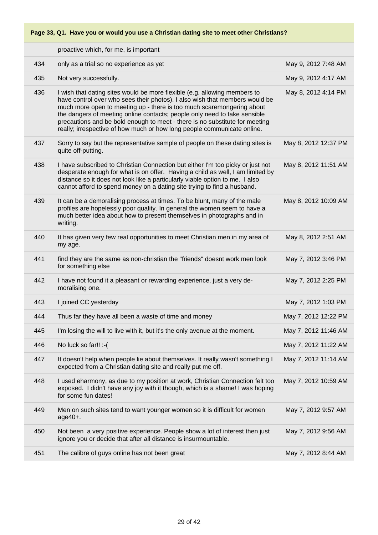|     | proactive which, for me, is important                                                                                                                                                                                                                                                                                                                                                                                                                                    |                      |
|-----|--------------------------------------------------------------------------------------------------------------------------------------------------------------------------------------------------------------------------------------------------------------------------------------------------------------------------------------------------------------------------------------------------------------------------------------------------------------------------|----------------------|
| 434 | only as a trial so no experience as yet                                                                                                                                                                                                                                                                                                                                                                                                                                  | May 9, 2012 7:48 AM  |
| 435 | Not very successfully.                                                                                                                                                                                                                                                                                                                                                                                                                                                   | May 9, 2012 4:17 AM  |
| 436 | I wish that dating sites would be more flexible (e.g. allowing members to<br>have control over who sees their photos). I also wish that members would be<br>much more open to meeting up - there is too much scaremongering about<br>the dangers of meeting online contacts; people only need to take sensible<br>precautions and be bold enough to meet - there is no substitute for meeting<br>really; irrespective of how much or how long people communicate online. | May 8, 2012 4:14 PM  |
| 437 | Sorry to say but the representative sample of people on these dating sites is<br>quite off-putting.                                                                                                                                                                                                                                                                                                                                                                      | May 8, 2012 12:37 PM |
| 438 | I have subscribed to Christian Connection but either I'm too picky or just not<br>desperate enough for what is on offer. Having a child as well, I am limited by<br>distance so it does not look like a particularly viable option to me. I also<br>cannot afford to spend money on a dating site trying to find a husband.                                                                                                                                              | May 8, 2012 11:51 AM |
| 439 | It can be a demoralising process at times. To be blunt, many of the male<br>profiles are hopelessly poor quality. In general the women seem to have a<br>much better idea about how to present themselves in photographs and in<br>writing.                                                                                                                                                                                                                              | May 8, 2012 10:09 AM |
| 440 | It has given very few real opportunities to meet Christian men in my area of<br>my age.                                                                                                                                                                                                                                                                                                                                                                                  | May 8, 2012 2:51 AM  |
| 441 | find they are the same as non-christian the "friends" doesnt work men look<br>for something else                                                                                                                                                                                                                                                                                                                                                                         | May 7, 2012 3:46 PM  |
| 442 | I have not found it a pleasant or rewarding experience, just a very de-<br>moralising one.                                                                                                                                                                                                                                                                                                                                                                               | May 7, 2012 2:25 PM  |
| 443 | I joined CC yesterday                                                                                                                                                                                                                                                                                                                                                                                                                                                    | May 7, 2012 1:03 PM  |
| 444 | Thus far they have all been a waste of time and money                                                                                                                                                                                                                                                                                                                                                                                                                    | May 7, 2012 12:22 PM |
| 445 | I'm losing the will to live with it, but it's the only avenue at the moment.                                                                                                                                                                                                                                                                                                                                                                                             | May 7, 2012 11:46 AM |
| 446 | No luck so far!! :- (                                                                                                                                                                                                                                                                                                                                                                                                                                                    | May 7, 2012 11:22 AM |
| 447 | It doesn't help when people lie about themselves. It really wasn't something I<br>expected from a Christian dating site and really put me off.                                                                                                                                                                                                                                                                                                                           | May 7, 2012 11:14 AM |
| 448 | I used eharmony, as due to my position at work, Christian Connection felt too<br>exposed. I didn't have any joy with it though, which is a shame! I was hoping<br>for some fun dates!                                                                                                                                                                                                                                                                                    | May 7, 2012 10:59 AM |
| 449 | Men on such sites tend to want younger women so it is difficult for women<br>$age40+.$                                                                                                                                                                                                                                                                                                                                                                                   | May 7, 2012 9:57 AM  |
| 450 | Not been a very positive experience. People show a lot of interest then just<br>ignore you or decide that after all distance is insurmountable.                                                                                                                                                                                                                                                                                                                          | May 7, 2012 9:56 AM  |
| 451 | The calibre of guys online has not been great                                                                                                                                                                                                                                                                                                                                                                                                                            | May 7, 2012 8:44 AM  |
|     |                                                                                                                                                                                                                                                                                                                                                                                                                                                                          |                      |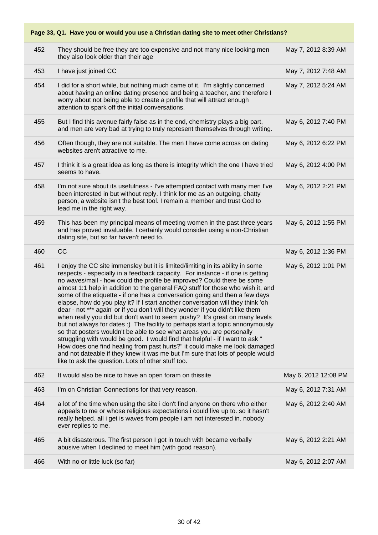| 452 | They should be free they are too expensive and not many nice looking men<br>they also look older than their age                                                                                                                                                                                                                                                                                                                                                                                                                                                                                                                                                                                                                                                                                                                                                                                                                                                                                                                                                                                                                    | May 7, 2012 8:39 AM  |
|-----|------------------------------------------------------------------------------------------------------------------------------------------------------------------------------------------------------------------------------------------------------------------------------------------------------------------------------------------------------------------------------------------------------------------------------------------------------------------------------------------------------------------------------------------------------------------------------------------------------------------------------------------------------------------------------------------------------------------------------------------------------------------------------------------------------------------------------------------------------------------------------------------------------------------------------------------------------------------------------------------------------------------------------------------------------------------------------------------------------------------------------------|----------------------|
| 453 | I have just joined CC                                                                                                                                                                                                                                                                                                                                                                                                                                                                                                                                                                                                                                                                                                                                                                                                                                                                                                                                                                                                                                                                                                              | May 7, 2012 7:48 AM  |
| 454 | I did for a short while, but nothing much came of it. I'm slightly concerned<br>about having an online dating presence and being a teacher, and therefore I<br>worry about not being able to create a profile that will attract enough<br>attention to spark off the initial conversations.                                                                                                                                                                                                                                                                                                                                                                                                                                                                                                                                                                                                                                                                                                                                                                                                                                        | May 7, 2012 5:24 AM  |
| 455 | But I find this avenue fairly false as in the end, chemistry plays a big part,<br>and men are very bad at trying to truly represent themselves through writing.                                                                                                                                                                                                                                                                                                                                                                                                                                                                                                                                                                                                                                                                                                                                                                                                                                                                                                                                                                    | May 6, 2012 7:40 PM  |
| 456 | Often though, they are not suitable. The men I have come across on dating<br>websites aren't attractive to me.                                                                                                                                                                                                                                                                                                                                                                                                                                                                                                                                                                                                                                                                                                                                                                                                                                                                                                                                                                                                                     | May 6, 2012 6:22 PM  |
| 457 | I think it is a great idea as long as there is integrity which the one I have tried<br>seems to have.                                                                                                                                                                                                                                                                                                                                                                                                                                                                                                                                                                                                                                                                                                                                                                                                                                                                                                                                                                                                                              | May 6, 2012 4:00 PM  |
| 458 | I'm not sure about its usefulness - I've attempted contact with many men I've<br>been interested in but without reply. I think for me as an outgoing, chatty<br>person, a website isn't the best tool. I remain a member and trust God to<br>lead me in the right way.                                                                                                                                                                                                                                                                                                                                                                                                                                                                                                                                                                                                                                                                                                                                                                                                                                                             | May 6, 2012 2:21 PM  |
| 459 | This has been my principal means of meeting women in the past three years<br>and has proved invaluable. I certainly would consider using a non-Christian<br>dating site, but so far haven't need to.                                                                                                                                                                                                                                                                                                                                                                                                                                                                                                                                                                                                                                                                                                                                                                                                                                                                                                                               | May 6, 2012 1:55 PM  |
| 460 | CC                                                                                                                                                                                                                                                                                                                                                                                                                                                                                                                                                                                                                                                                                                                                                                                                                                                                                                                                                                                                                                                                                                                                 | May 6, 2012 1:36 PM  |
|     |                                                                                                                                                                                                                                                                                                                                                                                                                                                                                                                                                                                                                                                                                                                                                                                                                                                                                                                                                                                                                                                                                                                                    |                      |
| 461 | I enjoy the CC site immensley but it is limited/limiting in its ability in some<br>respects - especially in a feedback capacity. For instance - if one is getting<br>no waves/mail - how could the profile be improved? Could there be some<br>almost 1:1 help in addition to the general FAQ stuff for those who wish it, and<br>some of the etiquette - if one has a conversation going and then a few days<br>elapse, how do you play it? If I start another conversation will they think 'oh<br>dear - not *** again' or if you don't will they wonder if you didn't like them<br>when really you did but don't want to seem pushy? It's great on many levels<br>but not always for dates :) The facility to perhaps start a topic annonymously<br>so that posters wouldn't be able to see what areas you are personally<br>struggling with would be good. I would find that helpful - if I want to ask "<br>How does one find healing from past hurts?" it could make me look damaged<br>and not dateable if they knew it was me but I'm sure that lots of people would<br>like to ask the question. Lots of other stuff too. | May 6, 2012 1:01 PM  |
| 462 | It would also be nice to have an open foram on thissite                                                                                                                                                                                                                                                                                                                                                                                                                                                                                                                                                                                                                                                                                                                                                                                                                                                                                                                                                                                                                                                                            | May 6, 2012 12:08 PM |
| 463 | I'm on Christian Connections for that very reason.                                                                                                                                                                                                                                                                                                                                                                                                                                                                                                                                                                                                                                                                                                                                                                                                                                                                                                                                                                                                                                                                                 | May 6, 2012 7:31 AM  |
| 464 | a lot of the time when using the site i don't find anyone on there who either<br>appeals to me or whose religious expectations i could live up to. so it hasn't<br>really helped. all i get is waves from people i am not interested in. nobody<br>ever replies to me.                                                                                                                                                                                                                                                                                                                                                                                                                                                                                                                                                                                                                                                                                                                                                                                                                                                             | May 6, 2012 2:40 AM  |
| 465 | A bit disasterous. The first person I got in touch with became verbally<br>abusive when I declined to meet him (with good reason).                                                                                                                                                                                                                                                                                                                                                                                                                                                                                                                                                                                                                                                                                                                                                                                                                                                                                                                                                                                                 | May 6, 2012 2:21 AM  |
| 466 | With no or little luck (so far)                                                                                                                                                                                                                                                                                                                                                                                                                                                                                                                                                                                                                                                                                                                                                                                                                                                                                                                                                                                                                                                                                                    | May 6, 2012 2:07 AM  |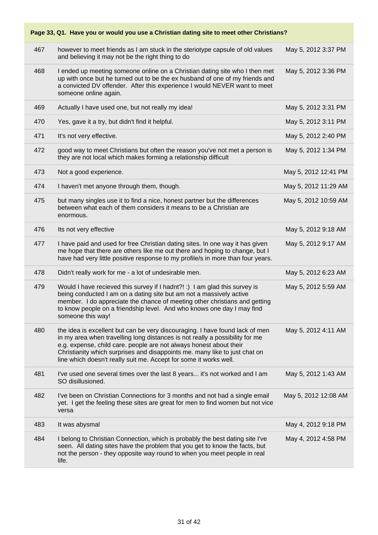| Page 33, Q1. Have you or would you use a Christian dating site to meet other Christians? |                                                                                                                                                                                                                                                                                                                                                                                       |                      |  |
|------------------------------------------------------------------------------------------|---------------------------------------------------------------------------------------------------------------------------------------------------------------------------------------------------------------------------------------------------------------------------------------------------------------------------------------------------------------------------------------|----------------------|--|
| 467                                                                                      | however to meet friends as I am stuck in the steriotype capsule of old values<br>and believing it may not be the right thing to do                                                                                                                                                                                                                                                    | May 5, 2012 3:37 PM  |  |
| 468                                                                                      | I ended up meeting someone online on a Christian dating site who I then met<br>up with once but he turned out to be the ex husband of one of my friends and<br>a convicted DV offender. After this experience I would NEVER want to meet<br>someone online again.                                                                                                                     | May 5, 2012 3:36 PM  |  |
| 469                                                                                      | Actually I have used one, but not really my idea!                                                                                                                                                                                                                                                                                                                                     | May 5, 2012 3:31 PM  |  |
| 470                                                                                      | Yes, gave it a try, but didn't find it helpful.                                                                                                                                                                                                                                                                                                                                       | May 5, 2012 3:11 PM  |  |
| 471                                                                                      | It's not very effective.                                                                                                                                                                                                                                                                                                                                                              | May 5, 2012 2:40 PM  |  |
| 472                                                                                      | good way to meet Christians but often the reason you've not met a person is<br>they are not local which makes forming a relationship difficult                                                                                                                                                                                                                                        | May 5, 2012 1:34 PM  |  |
| 473                                                                                      | Not a good experience.                                                                                                                                                                                                                                                                                                                                                                | May 5, 2012 12:41 PM |  |
| 474                                                                                      | I haven't met anyone through them, though.                                                                                                                                                                                                                                                                                                                                            | May 5, 2012 11:29 AM |  |
| 475                                                                                      | but many singles use it to find a nice, honest partner but the differences<br>between what each of them considers it means to be a Christian are<br>enormous.                                                                                                                                                                                                                         | May 5, 2012 10:59 AM |  |
| 476                                                                                      | Its not very effective                                                                                                                                                                                                                                                                                                                                                                | May 5, 2012 9:18 AM  |  |
| 477                                                                                      | I have paid and used for free Christian dating sites. In one way it has given<br>me hope that there are others like me out there and hoping to change, but I<br>have had very little positive response to my profile/s in more than four years.                                                                                                                                       | May 5, 2012 9:17 AM  |  |
| 478                                                                                      | Didn't really work for me - a lot of undesirable men.                                                                                                                                                                                                                                                                                                                                 | May 5, 2012 6:23 AM  |  |
| 479                                                                                      | Would I have recieved this survey if I hadnt?! :) I am glad this survey is<br>being conducted I am on a dating site but am not a massively active<br>member. I do appreciate the chance of meeting other christians and getting<br>to know people on a friendship level. And who knows one day I may find<br>someone this way!                                                        | May 5, 2012 5:59 AM  |  |
| 480                                                                                      | the idea is excellent but can be very discouraging. I have found lack of men<br>in my area when travelling long distances is not really a possibility for me<br>e.g. expense, child care. people are not always honest about their<br>Christianity which surprises and disappoints me. many like to just chat on<br>line which doesn't really suit me. Accept for some it works well. | May 5, 2012 4:11 AM  |  |
| 481                                                                                      | I've used one several times over the last 8 years it's not worked and I am<br>SO disillusioned.                                                                                                                                                                                                                                                                                       | May 5, 2012 1:43 AM  |  |
| 482                                                                                      | I've been on Christian Connections for 3 months and not had a single email<br>yet. I get the feeling these sites are great for men to find women but not vice<br>versa                                                                                                                                                                                                                | May 5, 2012 12:08 AM |  |
| 483                                                                                      | It was abysmal                                                                                                                                                                                                                                                                                                                                                                        | May 4, 2012 9:18 PM  |  |
| 484                                                                                      | I belong to Christian Connection, which is probably the best dating site I've<br>seen. All dating sites have the problem that you get to know the facts, but<br>not the person - they opposite way round to when you meet people in real<br>life.                                                                                                                                     | May 4, 2012 4:58 PM  |  |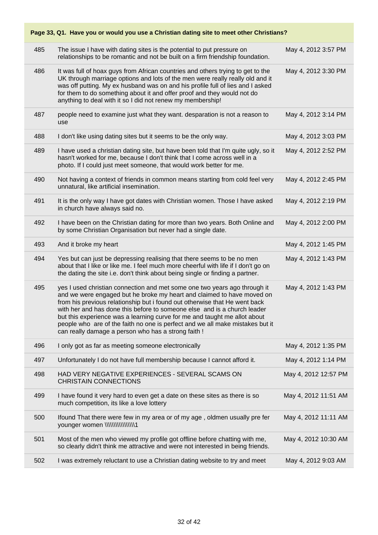| Page 33, Q1. Have you or would you use a Christian dating site to meet other Christians? |                                                                                                                                                                                                                                                                                                                                                                                                                                                                                                                                    |                      |  |
|------------------------------------------------------------------------------------------|------------------------------------------------------------------------------------------------------------------------------------------------------------------------------------------------------------------------------------------------------------------------------------------------------------------------------------------------------------------------------------------------------------------------------------------------------------------------------------------------------------------------------------|----------------------|--|
| 485                                                                                      | The issue I have with dating sites is the potential to put pressure on<br>relationships to be romantic and not be built on a firm friendship foundation.                                                                                                                                                                                                                                                                                                                                                                           | May 4, 2012 3:57 PM  |  |
| 486                                                                                      | It was full of hoax guys from African countries and others trying to get to the<br>UK through marriage options and lots of the men were really really old and it<br>was off putting. My ex husband was on and his profile full of lies and I asked<br>for them to do something about it and offer proof and they would not do<br>anything to deal with it so I did not renew my membership!                                                                                                                                        | May 4, 2012 3:30 PM  |  |
| 487                                                                                      | people need to examine just what they want. desparation is not a reason to<br>use                                                                                                                                                                                                                                                                                                                                                                                                                                                  | May 4, 2012 3:14 PM  |  |
| 488                                                                                      | I don't like using dating sites but it seems to be the only way.                                                                                                                                                                                                                                                                                                                                                                                                                                                                   | May 4, 2012 3:03 PM  |  |
| 489                                                                                      | I have used a christian dating site, but have been told that I'm quite ugly, so it<br>hasn't worked for me, because I don't think that I come across well in a<br>photo. If I could just meet someone, that would work better for me.                                                                                                                                                                                                                                                                                              | May 4, 2012 2:52 PM  |  |
| 490                                                                                      | Not having a context of friends in common means starting from cold feel very<br>unnatural, like artificial insemination.                                                                                                                                                                                                                                                                                                                                                                                                           | May 4, 2012 2:45 PM  |  |
| 491                                                                                      | It is the only way I have got dates with Christian women. Those I have asked<br>in church have always said no.                                                                                                                                                                                                                                                                                                                                                                                                                     | May 4, 2012 2:19 PM  |  |
| 492                                                                                      | I have been on the Christian dating for more than two years. Both Online and<br>by some Christian Organisation but never had a single date.                                                                                                                                                                                                                                                                                                                                                                                        | May 4, 2012 2:00 PM  |  |
| 493                                                                                      | And it broke my heart                                                                                                                                                                                                                                                                                                                                                                                                                                                                                                              | May 4, 2012 1:45 PM  |  |
| 494                                                                                      | Yes but can just be depressing realising that there seems to be no men<br>about that I like or like me. I feel much more cheerful with life if I don't go on<br>the dating the site i.e. don't think about being single or finding a partner.                                                                                                                                                                                                                                                                                      | May 4, 2012 1:43 PM  |  |
| 495                                                                                      | yes I used christian connection and met some one two years ago through it<br>and we were engaged but he broke my heart and claimed to have moved on<br>from his previous relationship but i found out otherwise that He went back<br>with her and has done this before to someone else and is a church leader<br>but this experience was a learning curve for me and taught me allot about<br>people who are of the faith no one is perfect and we all make mistakes but it<br>can really damage a person who has a strong faith ! | May 4, 2012 1:43 PM  |  |
| 496                                                                                      | I only got as far as meeting someone electronically                                                                                                                                                                                                                                                                                                                                                                                                                                                                                | May 4, 2012 1:35 PM  |  |
| 497                                                                                      | Unfortunately I do not have full membership because I cannot afford it.                                                                                                                                                                                                                                                                                                                                                                                                                                                            | May 4, 2012 1:14 PM  |  |
| 498                                                                                      | HAD VERY NEGATIVE EXPERIENCES - SEVERAL SCAMS ON<br><b>CHRISTAIN CONNECTIONS</b>                                                                                                                                                                                                                                                                                                                                                                                                                                                   | May 4, 2012 12:57 PM |  |
| 499                                                                                      | I have found it very hard to even get a date on these sites as there is so<br>much competition, its like a love lottery                                                                                                                                                                                                                                                                                                                                                                                                            | May 4, 2012 11:51 AM |  |
| 500                                                                                      | Ifound That there were few in my area or of my age, oldmen usually pre fer                                                                                                                                                                                                                                                                                                                                                                                                                                                         | May 4, 2012 11:11 AM |  |
| 501                                                                                      | Most of the men who viewed my profile got offline before chatting with me,<br>so clearly didn't think me attractive and were not interested in being friends.                                                                                                                                                                                                                                                                                                                                                                      | May 4, 2012 10:30 AM |  |
| 502                                                                                      | I was extremely reluctant to use a Christian dating website to try and meet                                                                                                                                                                                                                                                                                                                                                                                                                                                        | May 4, 2012 9:03 AM  |  |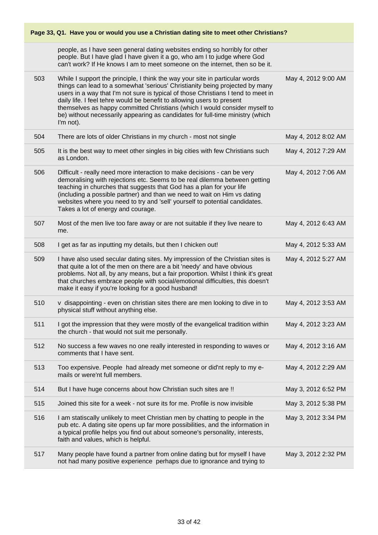| Page 33, Q1. Have you or would you use a Christian dating site to meet other Christians? |                                                                                                                                                                                                                                                                                                                                                                                                                                                                                                         |                     |
|------------------------------------------------------------------------------------------|---------------------------------------------------------------------------------------------------------------------------------------------------------------------------------------------------------------------------------------------------------------------------------------------------------------------------------------------------------------------------------------------------------------------------------------------------------------------------------------------------------|---------------------|
|                                                                                          | people, as I have seen general dating websites ending so horribly for other<br>people. But I have glad I have given it a go, who am I to judge where God<br>can't work? If He knows I am to meet someone on the internet, then so be it.                                                                                                                                                                                                                                                                |                     |
| 503                                                                                      | While I support the principle, I think the way your site in particular words<br>things can lead to a somewhat 'serious' Christianity being projected by many<br>users in a way that I'm not sure is typical of those Christians I tend to meet in<br>daily life. I feel tehre would be benefit to allowing users to present<br>themselves as happy committed Christians (which I would consider myself to<br>be) without necessarily appearing as candidates for full-time ministry (which<br>I'm not). | May 4, 2012 9:00 AM |
| 504                                                                                      | There are lots of older Christians in my church - most not single                                                                                                                                                                                                                                                                                                                                                                                                                                       | May 4, 2012 8:02 AM |
| 505                                                                                      | It is the best way to meet other singles in big cities with few Christians such<br>as London.                                                                                                                                                                                                                                                                                                                                                                                                           | May 4, 2012 7:29 AM |
| 506                                                                                      | Difficult - really need more interaction to make decisions - can be very<br>demoralising with rejections etc. Seems to be real dilemma between getting<br>teaching in churches that suggests that God has a plan for your life<br>(including a possible partner) and than we need to wait on Him vs dating<br>websites where you need to try and 'sell' yourself to potential candidates.<br>Takes a lot of energy and courage.                                                                         | May 4, 2012 7:06 AM |
| 507                                                                                      | Most of the men live too fare away or are not suitable if they live neare to<br>me.                                                                                                                                                                                                                                                                                                                                                                                                                     | May 4, 2012 6:43 AM |
| 508                                                                                      | I get as far as inputting my details, but then I chicken out!                                                                                                                                                                                                                                                                                                                                                                                                                                           | May 4, 2012 5:33 AM |
| 509                                                                                      | I have also used secular dating sites. My impression of the Christian sites is<br>that quite a lot of the men on there are a bit 'needy' and have obvious<br>problems. Not all, by any means, but a fair proportion. Whilst I think it's great<br>that churches embrace people with social/emotional difficulties, this doesn't<br>make it easy if you're looking for a good husband!                                                                                                                   | May 4, 2012 5:27 AM |
| 510                                                                                      | v disappointing - even on christian sites there are men looking to dive in to<br>physical stuff without anything else.                                                                                                                                                                                                                                                                                                                                                                                  | May 4, 2012 3:53 AM |
| 511                                                                                      | I got the impression that they were mostly of the evangelical tradition within<br>the church - that would not suit me personally.                                                                                                                                                                                                                                                                                                                                                                       | May 4, 2012 3:23 AM |
| 512                                                                                      | No success a few waves no one really interested in responding to waves or<br>comments that I have sent.                                                                                                                                                                                                                                                                                                                                                                                                 | May 4, 2012 3:16 AM |
| 513                                                                                      | Too expensive. People had already met someone or did'nt reply to my e-<br>mails or were'nt full members.                                                                                                                                                                                                                                                                                                                                                                                                | May 4, 2012 2:29 AM |
| 514                                                                                      | But I have huge concerns about how Christian such sites are !!                                                                                                                                                                                                                                                                                                                                                                                                                                          | May 3, 2012 6:52 PM |
| 515                                                                                      | Joined this site for a week - not sure its for me. Profile is now invisible                                                                                                                                                                                                                                                                                                                                                                                                                             | May 3, 2012 5:38 PM |
| 516                                                                                      | I am statiscally unlikely to meet Christian men by chatting to people in the<br>pub etc. A dating site opens up far more possibilities, and the information in<br>a typical profile helps you find out about someone's personality, interests,<br>faith and values, which is helpful.                                                                                                                                                                                                                   | May 3, 2012 3:34 PM |
| 517                                                                                      | Many people have found a partner from online dating but for myself I have<br>not had many positive experience perhaps due to ignorance and trying to                                                                                                                                                                                                                                                                                                                                                    | May 3, 2012 2:32 PM |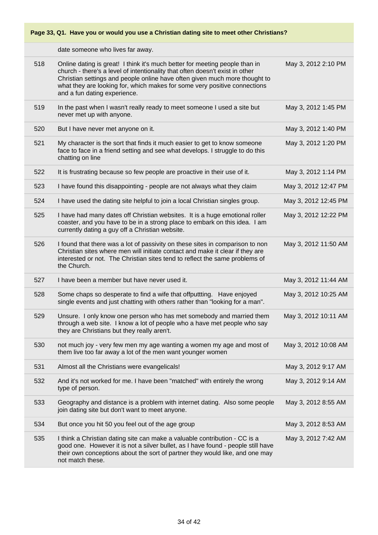date someone who lives far away.

| 518 | Online dating is great! I think it's much better for meeting people than in<br>church - there's a level of intentionality that often doesn't exist in other<br>Christian settings and people online have often given much more thought to<br>what they are looking for, which makes for some very positive connections<br>and a fun dating experience. | May 3, 2012 2:10 PM  |
|-----|--------------------------------------------------------------------------------------------------------------------------------------------------------------------------------------------------------------------------------------------------------------------------------------------------------------------------------------------------------|----------------------|
| 519 | In the past when I wasn't really ready to meet someone I used a site but<br>never met up with anyone.                                                                                                                                                                                                                                                  | May 3, 2012 1:45 PM  |
| 520 | But I have never met anyone on it.                                                                                                                                                                                                                                                                                                                     | May 3, 2012 1:40 PM  |
| 521 | My character is the sort that finds it much easier to get to know someone<br>face to face in a friend setting and see what develops. I struggle to do this<br>chatting on line                                                                                                                                                                         | May 3, 2012 1:20 PM  |
| 522 | It is frustrating because so few people are proactive in their use of it.                                                                                                                                                                                                                                                                              | May 3, 2012 1:14 PM  |
| 523 | I have found this disappointing - people are not always what they claim                                                                                                                                                                                                                                                                                | May 3, 2012 12:47 PM |
| 524 | I have used the dating site helpful to join a local Christian singles group.                                                                                                                                                                                                                                                                           | May 3, 2012 12:45 PM |
| 525 | I have had many dates off Christian websites. It is a huge emotional roller<br>coaster, and you have to be in a strong place to embark on this idea. I am<br>currently dating a guy off a Christian website.                                                                                                                                           | May 3, 2012 12:22 PM |
| 526 | I found that there was a lot of passivity on these sites in comparison to non<br>Christian sites where men will initiate contact and make it clear if they are<br>interested or not. The Christian sites tend to reflect the same problems of<br>the Church.                                                                                           | May 3, 2012 11:50 AM |
| 527 | I have been a member but have never used it.                                                                                                                                                                                                                                                                                                           | May 3, 2012 11:44 AM |
| 528 | Some chaps so desperate to find a wife that offputtting. Have enjoyed<br>single events and just chatting with others rather than "looking for a man".                                                                                                                                                                                                  | May 3, 2012 10:25 AM |
| 529 | Unsure. I only know one person who has met somebody and married them<br>through a web site. I know a lot of people who a have met people who say<br>they are Christians but they really aren't.                                                                                                                                                        | May 3, 2012 10:11 AM |
| 530 | not much joy - very few men my age wanting a women my age and most of<br>them live too far away a lot of the men want younger women                                                                                                                                                                                                                    | May 3, 2012 10:08 AM |
| 531 | Almost all the Christians were evangelicals!                                                                                                                                                                                                                                                                                                           | May 3, 2012 9:17 AM  |
| 532 | And it's not worked for me. I have been "matched" with entirely the wrong<br>type of person.                                                                                                                                                                                                                                                           | May 3, 2012 9:14 AM  |
| 533 | Geography and distance is a problem with internet dating. Also some people<br>join dating site but don't want to meet anyone.                                                                                                                                                                                                                          | May 3, 2012 8:55 AM  |
| 534 | But once you hit 50 you feel out of the age group                                                                                                                                                                                                                                                                                                      | May 3, 2012 8:53 AM  |
| 535 | I think a Christian dating site can make a valuable contribution - CC is a<br>good one. However it is not a silver bullet, as I have found - people still have<br>their own conceptions about the sort of partner they would like, and one may<br>not match these.                                                                                     | May 3, 2012 7:42 AM  |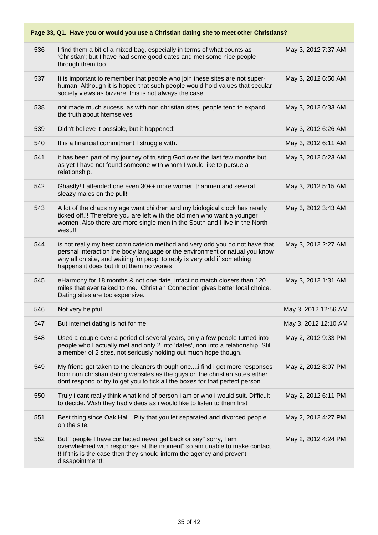| Page 33, Q1. Have you or would you use a Christian dating site to meet other Christians? |                                                                                                                                                                                                                                                                                    |                      |  |  |
|------------------------------------------------------------------------------------------|------------------------------------------------------------------------------------------------------------------------------------------------------------------------------------------------------------------------------------------------------------------------------------|----------------------|--|--|
| 536                                                                                      | I find them a bit of a mixed bag, especially in terms of what counts as<br>'Christian'; but I have had some good dates and met some nice people<br>through them too.                                                                                                               | May 3, 2012 7:37 AM  |  |  |
| 537                                                                                      | It is important to remember that people who join these sites are not super-<br>human. Although it is hoped that such people would hold values that secular<br>society views as bizzare, this is not always the case.                                                               | May 3, 2012 6:50 AM  |  |  |
| 538                                                                                      | not made much sucess, as with non christian sites, people tend to expand<br>the truth about htemselves                                                                                                                                                                             | May 3, 2012 6:33 AM  |  |  |
| 539                                                                                      | Didn't believe it possible, but it happened!                                                                                                                                                                                                                                       | May 3, 2012 6:26 AM  |  |  |
| 540                                                                                      | It is a financial commitment I struggle with.                                                                                                                                                                                                                                      | May 3, 2012 6:11 AM  |  |  |
| 541                                                                                      | it has been part of my journey of trusting God over the last few months but<br>as yet I have not found someone with whom I would like to pursue a<br>relationship.                                                                                                                 | May 3, 2012 5:23 AM  |  |  |
| 542                                                                                      | Ghastly! I attended one even 30++ more women thanmen and several<br>sleazy males on the pull!                                                                                                                                                                                      | May 3, 2012 5:15 AM  |  |  |
| 543                                                                                      | A lot of the chaps my age want children and my biological clock has nearly<br>ticked off.!! Therefore you are left with the old men who want a younger<br>women . Also there are more single men in the South and I live in the North<br>west.!!                                   | May 3, 2012 3:43 AM  |  |  |
| 544                                                                                      | is not really my best comnicateion method and very odd you do not have that<br>persnal interaction the body language or the environment or natual you know<br>why all on site, and waiting for peopl to reply is very odd if something<br>happens it does but ifnot them no wories | May 3, 2012 2:27 AM  |  |  |
| 545                                                                                      | eHarmony for 18 months & not one date, infact no match closers than 120<br>miles that ever talked to me. Christian Connection gives better local choice.<br>Dating sites are too expensive.                                                                                        | May 3, 2012 1:31 AM  |  |  |
| 546                                                                                      | Not very helpful.                                                                                                                                                                                                                                                                  | May 3, 2012 12:56 AM |  |  |
| 547                                                                                      | But internet dating is not for me.                                                                                                                                                                                                                                                 | May 3, 2012 12:10 AM |  |  |
| 548                                                                                      | Used a couple over a period of several years, only a few people turned into<br>people who I actually met and only 2 into 'dates', non into a relationship. Still<br>a member of 2 sites, not seriously holding out much hope though.                                               | May 2, 2012 9:33 PM  |  |  |
| 549                                                                                      | My friend got taken to the cleaners through one i find i get more responses<br>from non christian dating websites as the guys on the christian sutes either<br>dont respond or try to get you to tick all the boxes for that perfect person                                        | May 2, 2012 8:07 PM  |  |  |
| 550                                                                                      | Truly i cant really think what kind of person i am or who i would suit. Difficult<br>to decide. Wish they had videos as i would like to listen to them first                                                                                                                       | May 2, 2012 6:11 PM  |  |  |
| 551                                                                                      | Best thing since Oak Hall. Pity that you let separated and divorced people<br>on the site.                                                                                                                                                                                         | May 2, 2012 4:27 PM  |  |  |
| 552                                                                                      | But!! people I have contacted never get back or say" sorry, I am<br>overwhelmed with responses at the moment" so am unable to make contact<br>!! If this is the case then they should inform the agency and prevent<br>dissapointment!!                                            | May 2, 2012 4:24 PM  |  |  |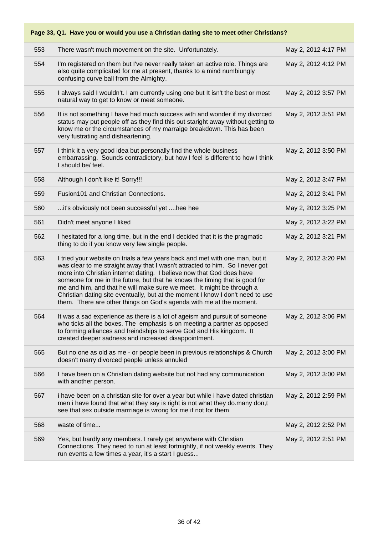| Page 33, Q1. Have you or would you use a Christian dating site to meet other Christians? |                                                                                                                                                                                                                                                                                                                                                                                                                                                                                                                                                        |                     |  |
|------------------------------------------------------------------------------------------|--------------------------------------------------------------------------------------------------------------------------------------------------------------------------------------------------------------------------------------------------------------------------------------------------------------------------------------------------------------------------------------------------------------------------------------------------------------------------------------------------------------------------------------------------------|---------------------|--|
| 553                                                                                      | There wasn't much movement on the site. Unfortunately.                                                                                                                                                                                                                                                                                                                                                                                                                                                                                                 | May 2, 2012 4:17 PM |  |
| 554                                                                                      | I'm registered on them but I've never really taken an active role. Things are<br>also quite complicated for me at present, thanks to a mind numbiungly<br>confusing curve ball from the Almighty.                                                                                                                                                                                                                                                                                                                                                      | May 2, 2012 4:12 PM |  |
| 555                                                                                      | I always said I wouldn't. I am currently using one but It isn't the best or most<br>natural way to get to know or meet someone.                                                                                                                                                                                                                                                                                                                                                                                                                        | May 2, 2012 3:57 PM |  |
| 556                                                                                      | It is not something I have had much success with and wonder if my divorced<br>status may put people off as they find this out staright away without getting to<br>know me or the circumstances of my marraige breakdown. This has been<br>very fustrating and disheartening.                                                                                                                                                                                                                                                                           | May 2, 2012 3:51 PM |  |
| 557                                                                                      | I think it a very good idea but personally find the whole business<br>embarrassing. Sounds contradictory, but how I feel is different to how I think<br>I should be/ feel.                                                                                                                                                                                                                                                                                                                                                                             | May 2, 2012 3:50 PM |  |
| 558                                                                                      | Although I don't like it! Sorry!!!                                                                                                                                                                                                                                                                                                                                                                                                                                                                                                                     | May 2, 2012 3:47 PM |  |
| 559                                                                                      | Fusion101 and Christian Connections.                                                                                                                                                                                                                                                                                                                                                                                                                                                                                                                   | May 2, 2012 3:41 PM |  |
| 560                                                                                      | it's obviously not been successful yet  hee hee                                                                                                                                                                                                                                                                                                                                                                                                                                                                                                        | May 2, 2012 3:25 PM |  |
| 561                                                                                      | Didn't meet anyone I liked                                                                                                                                                                                                                                                                                                                                                                                                                                                                                                                             | May 2, 2012 3:22 PM |  |
| 562                                                                                      | I hesitated for a long time, but in the end I decided that it is the pragmatic<br>thing to do if you know very few single people.                                                                                                                                                                                                                                                                                                                                                                                                                      | May 2, 2012 3:21 PM |  |
| 563                                                                                      | I tried your website on trials a few years back and met with one man, but it<br>was clear to me straight away that I wasn't attracted to him. So I never got<br>more into Christian internet dating. I believe now that God does have<br>someone for me in the future, but that he knows the timing that is good for<br>me and him, and that he will make sure we meet. It might be through a<br>Christian dating site eventually, but at the moment I know I don't need to use<br>them. There are other things on God's agenda with me at the moment. | May 2, 2012 3:20 PM |  |
| 564                                                                                      | It was a sad experience as there is a lot of ageism and pursuit of someone<br>who ticks all the boxes. The emphasis is on meeting a partner as opposed<br>to forming alliances and freindships to serve God and His kingdom. It<br>created deeper sadness and increased disappointment.                                                                                                                                                                                                                                                                | May 2, 2012 3:06 PM |  |
| 565                                                                                      | But no one as old as me - or people been in previous relationships & Church<br>doesn't marry divorced people unless annuled                                                                                                                                                                                                                                                                                                                                                                                                                            | May 2, 2012 3:00 PM |  |
| 566                                                                                      | I have been on a Christian dating website but not had any communication<br>with another person.                                                                                                                                                                                                                                                                                                                                                                                                                                                        | May 2, 2012 3:00 PM |  |
| 567                                                                                      | i have been on a christian site for over a year but while i have dated christian<br>men i have found that what they say is right is not what they do.many don,t<br>see that sex outside marrriage is wrong for me if not for them                                                                                                                                                                                                                                                                                                                      | May 2, 2012 2:59 PM |  |
| 568                                                                                      | waste of time                                                                                                                                                                                                                                                                                                                                                                                                                                                                                                                                          | May 2, 2012 2:52 PM |  |
| 569                                                                                      | Yes, but hardly any members. I rarely get anywhere with Christian<br>Connections. They need to run at least fortnightly, if not weekly events. They<br>run events a few times a year, it's a start I guess                                                                                                                                                                                                                                                                                                                                             | May 2, 2012 2:51 PM |  |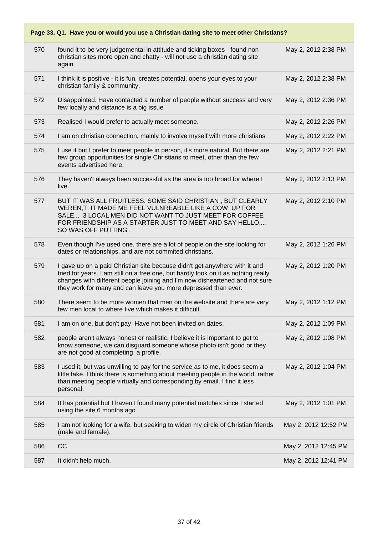| Page 33, Q1. Have you or would you use a Christian dating site to meet other Christians? |                                                                                                                                                                                                                                                                                                                   |                      |  |  |
|------------------------------------------------------------------------------------------|-------------------------------------------------------------------------------------------------------------------------------------------------------------------------------------------------------------------------------------------------------------------------------------------------------------------|----------------------|--|--|
| 570                                                                                      | found it to be very judgemental in attitude and ticking boxes - found non<br>christian sites more open and chatty - will not use a christian dating site<br>again                                                                                                                                                 | May 2, 2012 2:38 PM  |  |  |
| 571                                                                                      | I think it is positive - it is fun, creates potential, opens your eyes to your<br>christian family & community.                                                                                                                                                                                                   | May 2, 2012 2:38 PM  |  |  |
| 572                                                                                      | Disappointed. Have contacted a number of people without success and very<br>few locally and distance is a big issue                                                                                                                                                                                               | May 2, 2012 2:36 PM  |  |  |
| 573                                                                                      | Realised I would prefer to actually meet someone.                                                                                                                                                                                                                                                                 | May 2, 2012 2:26 PM  |  |  |
| 574                                                                                      | I am on christian connection, mainly to involve myself with more christians                                                                                                                                                                                                                                       | May 2, 2012 2:22 PM  |  |  |
| 575                                                                                      | I use it but I prefer to meet people in person, it's more natural. But there are<br>few group opportunities for single Christians to meet, other than the few<br>events advertised here.                                                                                                                          | May 2, 2012 2:21 PM  |  |  |
| 576                                                                                      | They haven't always been successful as the area is too broad for where I<br>live.                                                                                                                                                                                                                                 | May 2, 2012 2:13 PM  |  |  |
| 577                                                                                      | BUT IT WAS ALL FRUITLESS. SOME SAID CHRISTIAN, BUT CLEARLY<br>WEREN, T. IT MADE ME FEEL VULNREABLE LIKE A COW UP FOR<br>SALE 3 LOCAL MEN DID NOT WANT TO JUST MEET FOR COFFEE<br>FOR FRIENDSHIP AS A STARTER JUST TO MEET AND SAY HELLO<br>SO WAS OFF PUTTING.                                                    | May 2, 2012 2:10 PM  |  |  |
| 578                                                                                      | Even though I've used one, there are a lot of people on the site looking for<br>dates or relationships, and are not commited christians.                                                                                                                                                                          | May 2, 2012 1:26 PM  |  |  |
| 579                                                                                      | I gave up on a paid Christian site because didn't get anywhere with it and<br>tried for years. I am still on a free one, but hardly look on it as nothing really<br>changes with different people joining and I'm now disheartened and not sure<br>they work for many and can leave you more depressed than ever. | May 2, 2012 1:20 PM  |  |  |
| 580                                                                                      | There seem to be more women that men on the website and there are very<br>few men local to where live which makes it difficult.                                                                                                                                                                                   | May 2, 2012 1:12 PM  |  |  |
| 581                                                                                      | I am on one, but don't pay. Have not been invited on dates.                                                                                                                                                                                                                                                       | May 2, 2012 1:09 PM  |  |  |
| 582                                                                                      | people aren't always honest or realistic. I believe it is important to get to<br>know someone, we can disguard someone whose photo isn't good or they<br>are not good at completing a profile.                                                                                                                    | May 2, 2012 1:08 PM  |  |  |
| 583                                                                                      | I used it, but was unwilling to pay for the service as to me, it does seem a<br>little fake. I think there is something about meeting people in the world, rather<br>than meeting people virtually and corresponding by email. I find it less<br>personal.                                                        | May 2, 2012 1:04 PM  |  |  |
| 584                                                                                      | It has potential but I haven't found many potential matches since I started<br>using the site 6 months ago                                                                                                                                                                                                        | May 2, 2012 1:01 PM  |  |  |
| 585                                                                                      | I am not looking for a wife, but seeking to widen my circle of Christian friends<br>(male and female).                                                                                                                                                                                                            | May 2, 2012 12:52 PM |  |  |
| 586                                                                                      | CC                                                                                                                                                                                                                                                                                                                | May 2, 2012 12:45 PM |  |  |
| 587                                                                                      | It didn't help much.                                                                                                                                                                                                                                                                                              | May 2, 2012 12:41 PM |  |  |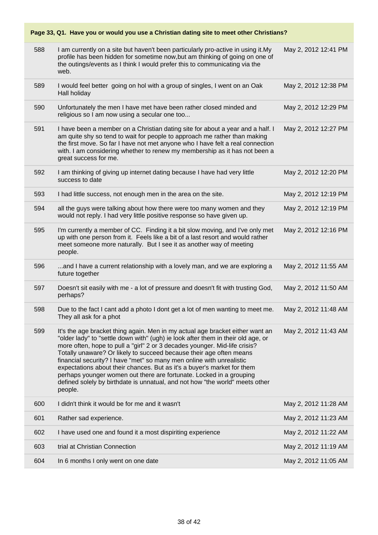| 588 | I am currently on a site but haven't been particularly pro-active in using it.My<br>profile has been hidden for sometime now, but am thinking of going on one of<br>the outings/events as I think I would prefer this to communicating via the<br>web.                                                                                                                                                                                                                                                                                                                                                                                      | May 2, 2012 12:41 PM |
|-----|---------------------------------------------------------------------------------------------------------------------------------------------------------------------------------------------------------------------------------------------------------------------------------------------------------------------------------------------------------------------------------------------------------------------------------------------------------------------------------------------------------------------------------------------------------------------------------------------------------------------------------------------|----------------------|
| 589 | I would feel better going on hol with a group of singles, I went on an Oak<br>Hall holiday                                                                                                                                                                                                                                                                                                                                                                                                                                                                                                                                                  | May 2, 2012 12:38 PM |
| 590 | Unfortunately the men I have met have been rather closed minded and<br>religious so I am now using a secular one too                                                                                                                                                                                                                                                                                                                                                                                                                                                                                                                        | May 2, 2012 12:29 PM |
| 591 | I have been a member on a Christian dating site for about a year and a half. I<br>am quite shy so tend to wait for people to approach me rather than making<br>the first move. So far I have not met anyone who I have felt a real connection<br>with. I am considering whether to renew my membership as it has not been a<br>great success for me.                                                                                                                                                                                                                                                                                        | May 2, 2012 12:27 PM |
| 592 | I am thinking of giving up internet dating because I have had very little<br>success to date                                                                                                                                                                                                                                                                                                                                                                                                                                                                                                                                                | May 2, 2012 12:20 PM |
| 593 | I had little success, not enough men in the area on the site.                                                                                                                                                                                                                                                                                                                                                                                                                                                                                                                                                                               | May 2, 2012 12:19 PM |
| 594 | all the guys were talking about how there were too many women and they<br>would not reply. I had very little positive response so have given up.                                                                                                                                                                                                                                                                                                                                                                                                                                                                                            | May 2, 2012 12:19 PM |
| 595 | I'm currently a member of CC. Finding it a bit slow moving, and I've only met<br>up with one person from it. Feels like a bit of a last resort and would rather<br>meet someone more naturally. But I see it as another way of meeting<br>people.                                                                                                                                                                                                                                                                                                                                                                                           | May 2, 2012 12:16 PM |
| 596 | and I have a current relationship with a lovely man, and we are exploring a<br>future together                                                                                                                                                                                                                                                                                                                                                                                                                                                                                                                                              | May 2, 2012 11:55 AM |
| 597 | Doesn't sit easily with me - a lot of pressure and doesn't fit with trusting God,<br>perhaps?                                                                                                                                                                                                                                                                                                                                                                                                                                                                                                                                               | May 2, 2012 11:50 AM |
| 598 | Due to the fact I cant add a photo I dont get a lot of men wanting to meet me.<br>They all ask for a phot                                                                                                                                                                                                                                                                                                                                                                                                                                                                                                                                   | May 2, 2012 11:48 AM |
| 599 | It's the age bracket thing again. Men in my actual age bracket either want an<br>"older lady" to "settle down with" (ugh) ie look after them in their old age, or<br>more often, hope to pull a "girl" 2 or 3 decades younger. Mid-life crisis?<br>Totally unaware? Or likely to succeed because their age often means<br>financial security? I have "met" so many men online with unrealistic<br>expectations about their chances. But as it's a buyer's market for them<br>perhaps younger women out there are fortunate. Locked in a grouping<br>defined solely by birthdate is unnatual, and not how "the world" meets other<br>people. | May 2, 2012 11:43 AM |
| 600 | I didn't think it would be for me and it wasn't                                                                                                                                                                                                                                                                                                                                                                                                                                                                                                                                                                                             | May 2, 2012 11:28 AM |
| 601 | Rather sad experience.                                                                                                                                                                                                                                                                                                                                                                                                                                                                                                                                                                                                                      | May 2, 2012 11:23 AM |
| 602 | I have used one and found it a most dispiriting experience                                                                                                                                                                                                                                                                                                                                                                                                                                                                                                                                                                                  | May 2, 2012 11:22 AM |
| 603 | trial at Christian Connection                                                                                                                                                                                                                                                                                                                                                                                                                                                                                                                                                                                                               | May 2, 2012 11:19 AM |
| 604 | In 6 months I only went on one date                                                                                                                                                                                                                                                                                                                                                                                                                                                                                                                                                                                                         | May 2, 2012 11:05 AM |
|     |                                                                                                                                                                                                                                                                                                                                                                                                                                                                                                                                                                                                                                             |                      |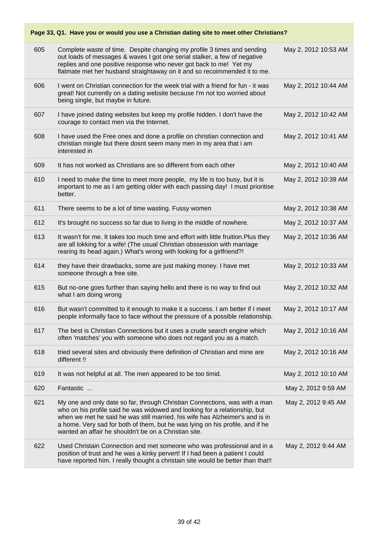| Page 33, Q1. Have you or would you use a Christian dating site to meet other Christians? |                                                                                                                                                                                                                                                                                                                                                                                    |                      |
|------------------------------------------------------------------------------------------|------------------------------------------------------------------------------------------------------------------------------------------------------------------------------------------------------------------------------------------------------------------------------------------------------------------------------------------------------------------------------------|----------------------|
| 605                                                                                      | Complete waste of time. Despite changing my profile 3 times and sending<br>out loads of messages & waves I got one serial stalker, a few of negative<br>replies and one positive response who never got back to me! Yet my<br>flatmate met her husband straightaway on it and so recoimmended it to me.                                                                            | May 2, 2012 10:53 AM |
| 606                                                                                      | I went on Christian connection for the week trial with a friend for fun - it was<br>great! Not currently on a dating website because I'm not too worried about<br>being single, but maybe in future.                                                                                                                                                                               | May 2, 2012 10:44 AM |
| 607                                                                                      | I have joined dating websites but keep my profile hidden. I don't have the<br>courage to contact men via the Internet.                                                                                                                                                                                                                                                             | May 2, 2012 10:42 AM |
| 608                                                                                      | I have used the Free ones and done a profile on christian connection and<br>christian mingle but there dosnt seem many men in my area that i am<br>interested in                                                                                                                                                                                                                   | May 2, 2012 10:41 AM |
| 609                                                                                      | It has not worked as Christians are so different from each other                                                                                                                                                                                                                                                                                                                   | May 2, 2012 10:40 AM |
| 610                                                                                      | I need to make the time to meet more people, my life is too busy, but it is<br>important to me as I am getting older with each passing day! I must prioritise<br>better.                                                                                                                                                                                                           | May 2, 2012 10:39 AM |
| 611                                                                                      | There seems to be a lot of time wasting. Fussy women                                                                                                                                                                                                                                                                                                                               | May 2, 2012 10:38 AM |
| 612                                                                                      | It's brought no success so far due to living in the middle of nowhere.                                                                                                                                                                                                                                                                                                             | May 2, 2012 10:37 AM |
| 613                                                                                      | It wasn't for me. It takes too much time and effort with little fruition. Plus they<br>are all lokking for a wife! (The usual Christian obssession with marriage<br>rearing its head again.) What's wrong with looking for a girlfriend?!                                                                                                                                          | May 2, 2012 10:36 AM |
| 614                                                                                      | they have their drawbacks, some are just making money. I have met<br>someone through a free site.                                                                                                                                                                                                                                                                                  | May 2, 2012 10:33 AM |
| 615                                                                                      | But no-one goes further than saying hello and there is no way to find out<br>what I am doing wrong                                                                                                                                                                                                                                                                                 | May 2, 2012 10:32 AM |
| 616                                                                                      | But wasn't committed to it enough to make it a success. I am better if I meet<br>people informally face to face without the pressure of a possible relationship.                                                                                                                                                                                                                   | May 2, 2012 10:17 AM |
| 617                                                                                      | The best is Christian Connections but it uses a crude search engine which<br>often 'matches' you with someone who does not regard you as a match.                                                                                                                                                                                                                                  | May 2, 2012 10:16 AM |
| 618                                                                                      | tried several sites and obviously there definition of Christian and mine are<br>different !!                                                                                                                                                                                                                                                                                       | May 2, 2012 10:16 AM |
| 619                                                                                      | It was not helpful at all. The men appeared to be too timid.                                                                                                                                                                                                                                                                                                                       | May 2, 2012 10:10 AM |
| 620                                                                                      | Fantastic                                                                                                                                                                                                                                                                                                                                                                          | May 2, 2012 9:59 AM  |
| 621                                                                                      | My one and only date so far, through Christian Connections, was with a man<br>who on his profile said he was widowed and looking for a relationship, but<br>when we met he said he was still married, his wife has Alzheimer's and is in<br>a home. Very sad for both of them, but he was lying on his profile, and if he<br>wanted an affair he shouldn't be on a Christian site. | May 2, 2012 9:45 AM  |
| 622                                                                                      | Used Christain Connection and met someone who was professional and in a<br>position of trust and he was a kinky pervert! If I had been a patient I could<br>have reported him. I really thought a christain site would be better than that!!                                                                                                                                       | May 2, 2012 9:44 AM  |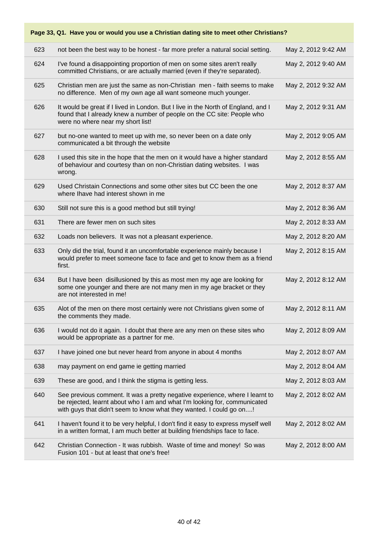| Page 33, Q1. Have you or would you use a Christian dating site to meet other Christians? |                                                                                                                                                                                                                                  |                     |  |  |
|------------------------------------------------------------------------------------------|----------------------------------------------------------------------------------------------------------------------------------------------------------------------------------------------------------------------------------|---------------------|--|--|
| 623                                                                                      | not been the best way to be honest - far more prefer a natural social setting.                                                                                                                                                   | May 2, 2012 9:42 AM |  |  |
| 624                                                                                      | I've found a disappointing proportion of men on some sites aren't really<br>committed Christians, or are actually married (even if they're separated).                                                                           | May 2, 2012 9:40 AM |  |  |
| 625                                                                                      | Christian men are just the same as non-Christian men - faith seems to make<br>no difference. Men of my own age all want someone much younger.                                                                                    | May 2, 2012 9:32 AM |  |  |
| 626                                                                                      | It would be great if I lived in London. But I live in the North of England, and I<br>found that I already knew a number of people on the CC site: People who<br>were no where near my short list!                                | May 2, 2012 9:31 AM |  |  |
| 627                                                                                      | but no-one wanted to meet up with me, so never been on a date only<br>communicated a bit through the website                                                                                                                     | May 2, 2012 9:05 AM |  |  |
| 628                                                                                      | I used this site in the hope that the men on it would have a higher standard<br>of behaviour and courtesy than on non-Christian dating websites. I was<br>wrong.                                                                 | May 2, 2012 8:55 AM |  |  |
| 629                                                                                      | Used Christain Connections and some other sites but CC been the one<br>where Ihave had interest shown in me                                                                                                                      | May 2, 2012 8:37 AM |  |  |
| 630                                                                                      | Still not sure this is a good method but still trying!                                                                                                                                                                           | May 2, 2012 8:36 AM |  |  |
| 631                                                                                      | There are fewer men on such sites                                                                                                                                                                                                | May 2, 2012 8:33 AM |  |  |
| 632                                                                                      | Loads non believers. It was not a pleasant experience.                                                                                                                                                                           | May 2, 2012 8:20 AM |  |  |
| 633                                                                                      | Only did the trial, found it an uncomfortable experience mainly because I<br>would prefer to meet someone face to face and get to know them as a friend<br>first.                                                                | May 2, 2012 8:15 AM |  |  |
| 634                                                                                      | But I have been disillusioned by this as most men my age are looking for<br>some one younger and there are not many men in my age bracket or they<br>are not interested in me!                                                   | May 2, 2012 8:12 AM |  |  |
| 635                                                                                      | Alot of the men on there most certainly were not Christians given some of<br>the comments they made.                                                                                                                             | May 2, 2012 8:11 AM |  |  |
| 636                                                                                      | I would not do it again. I doubt that there are any men on these sites who<br>would be appropriate as a partner for me.                                                                                                          | May 2, 2012 8:09 AM |  |  |
| 637                                                                                      | I have joined one but never heard from anyone in about 4 months                                                                                                                                                                  | May 2, 2012 8:07 AM |  |  |
| 638                                                                                      | may payment on end game ie getting married                                                                                                                                                                                       | May 2, 2012 8:04 AM |  |  |
| 639                                                                                      | These are good, and I think the stigma is getting less.                                                                                                                                                                          | May 2, 2012 8:03 AM |  |  |
| 640                                                                                      | See previous comment. It was a pretty negative experience, where I learnt to<br>be rejected, learnt about who I am and what I'm looking for, communicated<br>with guys that didn't seem to know what they wanted. I could go on! | May 2, 2012 8:02 AM |  |  |
| 641                                                                                      | I haven't found it to be very helpful, I don't find it easy to express myself well<br>in a written format, I am much better at building friendships face to face.                                                                | May 2, 2012 8:02 AM |  |  |
| 642                                                                                      | Christian Connection - It was rubbish. Waste of time and money! So was<br>Fusion 101 - but at least that one's free!                                                                                                             | May 2, 2012 8:00 AM |  |  |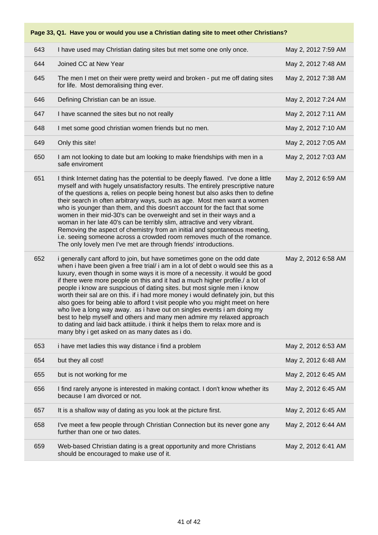| 643 | I have used may Christian dating sites but met some one only once.                                                                                                                                                                                                                                                                                                                                                                                                                                                                                                                                                                                                                                                                                                                                                                                                     | May 2, 2012 7:59 AM |
|-----|------------------------------------------------------------------------------------------------------------------------------------------------------------------------------------------------------------------------------------------------------------------------------------------------------------------------------------------------------------------------------------------------------------------------------------------------------------------------------------------------------------------------------------------------------------------------------------------------------------------------------------------------------------------------------------------------------------------------------------------------------------------------------------------------------------------------------------------------------------------------|---------------------|
| 644 | Joined CC at New Year                                                                                                                                                                                                                                                                                                                                                                                                                                                                                                                                                                                                                                                                                                                                                                                                                                                  | May 2, 2012 7:48 AM |
| 645 | The men I met on their were pretty weird and broken - put me off dating sites<br>for life. Most demoralising thing ever.                                                                                                                                                                                                                                                                                                                                                                                                                                                                                                                                                                                                                                                                                                                                               | May 2, 2012 7:38 AM |
| 646 | Defining Christian can be an issue.                                                                                                                                                                                                                                                                                                                                                                                                                                                                                                                                                                                                                                                                                                                                                                                                                                    | May 2, 2012 7:24 AM |
| 647 | I have scanned the sites but no not really                                                                                                                                                                                                                                                                                                                                                                                                                                                                                                                                                                                                                                                                                                                                                                                                                             | May 2, 2012 7:11 AM |
| 648 | I met some good christian women friends but no men.                                                                                                                                                                                                                                                                                                                                                                                                                                                                                                                                                                                                                                                                                                                                                                                                                    | May 2, 2012 7:10 AM |
| 649 | Only this site!                                                                                                                                                                                                                                                                                                                                                                                                                                                                                                                                                                                                                                                                                                                                                                                                                                                        | May 2, 2012 7:05 AM |
| 650 | I am not looking to date but am looking to make friendships with men in a<br>safe enviroment                                                                                                                                                                                                                                                                                                                                                                                                                                                                                                                                                                                                                                                                                                                                                                           | May 2, 2012 7:03 AM |
| 651 | I think Internet dating has the potential to be deeply flawed. I've done a little<br>myself and with hugely unsatisfactory results. The entirely prescriptive nature<br>of the questions a, relies on people being honest but also asks then to define<br>their search in often arbitrary ways, such as age. Most men want a women<br>who is younger than them, and this doesn't account for the fact that some<br>women in their mid-30's can be overweight and set in their ways and a<br>woman in her late 40's can be terribly slim, attractive and very vibrant.<br>Removing the aspect of chemistry from an initial and spontaneous meeting,<br>i.e. seeing someone across a crowded room removes much of the romance.<br>The only lovely men I've met are through friends' introductions.                                                                       | May 2, 2012 6:59 AM |
| 652 | i generally cant afford to join, but have sometimes gone on the odd date<br>when i have been given a free trial/ i am in a lot of debt o would see this as a<br>luxury, even though in some ways it is more of a necessity. it would be good<br>if there were more people on this and it had a much higher profile./ a lot of<br>people i know are suspcious of dating sites. but most signle men i know<br>worth their sal are on this. if i had more money i would definately join, but this<br>also goes for being able to afford t visit people who you might meet on here<br>who live a long way away. as i have out on singles events i am doing my<br>best to help myself and others and many men admire my relaxed approach<br>to dating and laid back attiitude. i think it helps them to relax more and is<br>many bhy i get asked on as many dates as i do. | May 2, 2012 6:58 AM |
| 653 | i have met ladies this way distance i find a problem                                                                                                                                                                                                                                                                                                                                                                                                                                                                                                                                                                                                                                                                                                                                                                                                                   | May 2, 2012 6:53 AM |
| 654 | but they all cost!                                                                                                                                                                                                                                                                                                                                                                                                                                                                                                                                                                                                                                                                                                                                                                                                                                                     | May 2, 2012 6:48 AM |
| 655 | but is not working for me                                                                                                                                                                                                                                                                                                                                                                                                                                                                                                                                                                                                                                                                                                                                                                                                                                              | May 2, 2012 6:45 AM |
| 656 | I find rarely anyone is interested in making contact. I don't know whether its<br>because I am divorced or not.                                                                                                                                                                                                                                                                                                                                                                                                                                                                                                                                                                                                                                                                                                                                                        | May 2, 2012 6:45 AM |
| 657 | It is a shallow way of dating as you look at the picture first.                                                                                                                                                                                                                                                                                                                                                                                                                                                                                                                                                                                                                                                                                                                                                                                                        | May 2, 2012 6:45 AM |
| 658 | I've meet a few people through Christian Connection but its never gone any<br>further than one or two dates.                                                                                                                                                                                                                                                                                                                                                                                                                                                                                                                                                                                                                                                                                                                                                           | May 2, 2012 6:44 AM |
| 659 | Web-based Christian dating is a great opportunity and more Christians<br>should be encouraged to make use of it.                                                                                                                                                                                                                                                                                                                                                                                                                                                                                                                                                                                                                                                                                                                                                       | May 2, 2012 6:41 AM |